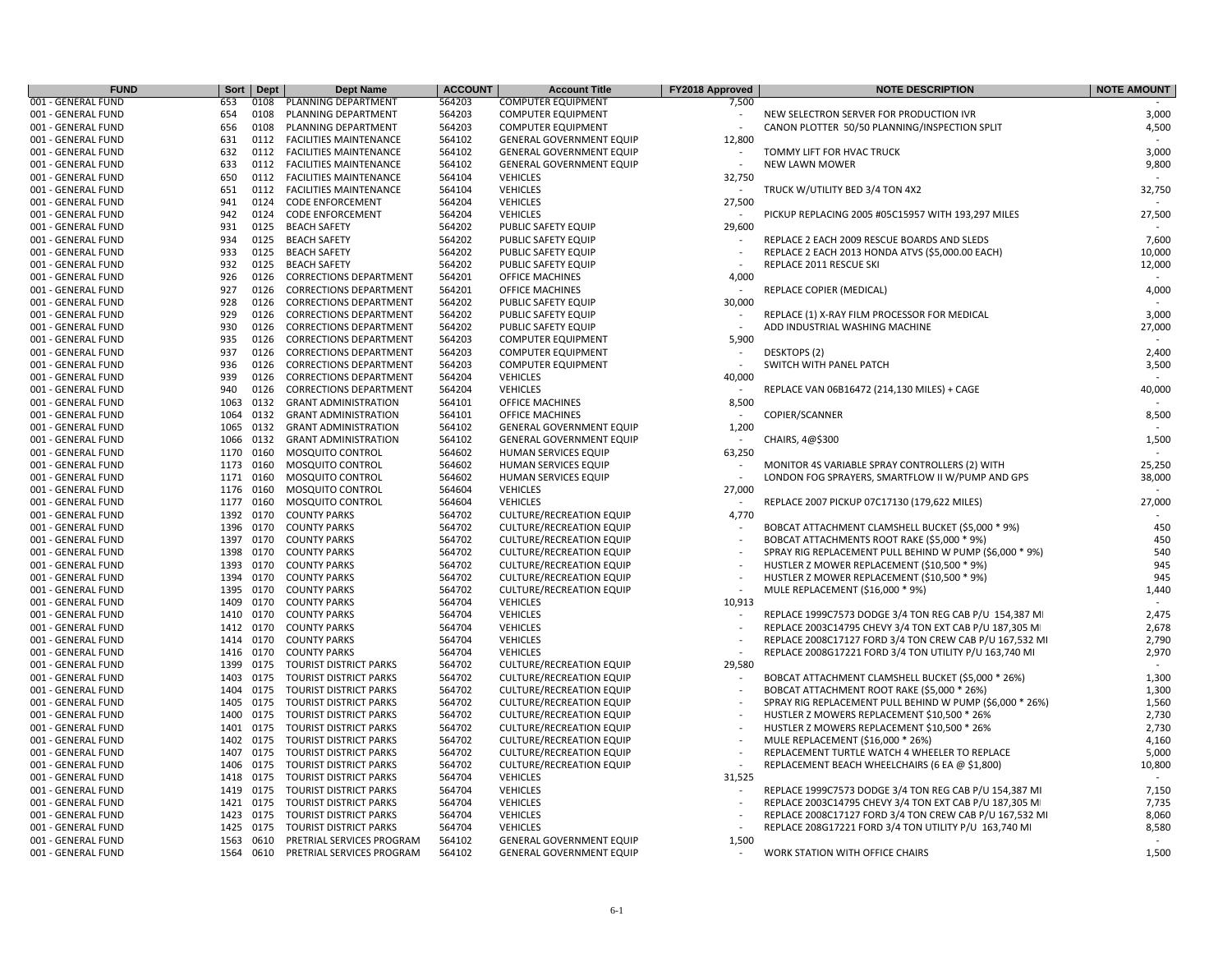| <b>FUND</b>        | Sort | <b>Dept</b> | <b>Dept Name</b>              | <b>ACCOUNT</b> | <b>Account Title</b>            | FY2018 Approved          | <b>NOTE DESCRIPTION</b>                                  | <b>NOTE AMOUNT</b>       |
|--------------------|------|-------------|-------------------------------|----------------|---------------------------------|--------------------------|----------------------------------------------------------|--------------------------|
| 001 - GENERAL FUND | 653  | 0108        | PLANNING DEPARTMENT           | 564203         | <b>COMPUTER EQUIPMENT</b>       | 7,500                    |                                                          |                          |
| 001 - GENERAL FUND | 654  | 0108        | PLANNING DEPARTMENT           | 564203         | <b>COMPUTER EQUIPMENT</b>       | $\overline{\phantom{a}}$ | NEW SELECTRON SERVER FOR PRODUCTION IVR                  | 3,000                    |
| 001 - GENERAL FUND | 656  | 0108        | PLANNING DEPARTMENT           | 564203         | <b>COMPUTER EQUIPMENT</b>       |                          | CANON PLOTTER 50/50 PLANNING/INSPECTION SPLIT            | 4,500                    |
| 001 - GENERAL FUND | 631  | 0112        | <b>FACILITIES MAINTENANCE</b> | 564102         | GENERAL GOVERNMENT EQUIP        | 12,800                   |                                                          | $\sim$                   |
| 001 - GENERAL FUND | 632  | 0112        | <b>FACILITIES MAINTENANCE</b> | 564102         | <b>GENERAL GOVERNMENT EQUIP</b> |                          | TOMMY LIFT FOR HVAC TRUCK                                | 3,000                    |
| 001 - GENERAL FUND | 633  | 0112        | <b>FACILITIES MAINTENANCE</b> | 564102         | <b>GENERAL GOVERNMENT EQUIP</b> |                          | <b>NEW LAWN MOWER</b>                                    | 9,800                    |
| 001 - GENERAL FUND | 650  | 0112        | <b>FACILITIES MAINTENANCE</b> | 564104         | <b>VEHICLES</b>                 | 32,750                   |                                                          | $\sim$                   |
| 001 - GENERAL FUND | 651  | 0112        | <b>FACILITIES MAINTENANCE</b> | 564104         | <b>VEHICLES</b>                 |                          | TRUCK W/UTILITY BED 3/4 TON 4X2                          | 32,750                   |
| 001 - GENERAL FUND | 941  | 0124        | <b>CODE ENFORCEMENT</b>       | 564204         | <b>VEHICLES</b>                 | 27,500                   |                                                          |                          |
| 001 - GENERAL FUND | 942  | 0124        | <b>CODE ENFORCEMENT</b>       | 564204         | <b>VEHICLES</b>                 |                          | PICKUP REPLACING 2005 #05C15957 WITH 193,297 MILES       | 27,500                   |
| 001 - GENERAL FUND | 931  | 0125        | <b>BEACH SAFETY</b>           | 564202         | PUBLIC SAFETY EQUIP             | 29,600                   |                                                          |                          |
| 001 - GENERAL FUND | 934  | 0125        | <b>BEACH SAFETY</b>           | 564202         | PUBLIC SAFETY EQUIP             |                          | REPLACE 2 EACH 2009 RESCUE BOARDS AND SLEDS              | 7,600                    |
| 001 - GENERAL FUND | 933  | 0125        | <b>BEACH SAFETY</b>           | 564202         | PUBLIC SAFETY EQUIP             | $\overline{\phantom{a}}$ | REPLACE 2 EACH 2013 HONDA ATVS (\$5,000.00 EACH)         | 10,000                   |
| 001 - GENERAL FUND | 932  | 0125        | <b>BEACH SAFETY</b>           | 564202         | PUBLIC SAFETY EQUIP             |                          | REPLACE 2011 RESCUE SKI                                  | 12,000                   |
| 001 - GENERAL FUND | 926  | 0126        | <b>CORRECTIONS DEPARTMENT</b> | 564201         | OFFICE MACHINES                 | 4,000                    |                                                          | $\overline{\phantom{a}}$ |
| 001 - GENERAL FUND | 927  | 0126        | <b>CORRECTIONS DEPARTMENT</b> | 564201         | OFFICE MACHINES                 |                          | REPLACE COPIER (MEDICAL)                                 | 4,000                    |
| 001 - GENERAL FUND | 928  | 0126        | <b>CORRECTIONS DEPARTMENT</b> | 564202         | PUBLIC SAFETY EQUIP             | 30,000                   |                                                          |                          |
| 001 - GENERAL FUND | 929  | 0126        | <b>CORRECTIONS DEPARTMENT</b> | 564202         | PUBLIC SAFETY EQUIP             |                          | REPLACE (1) X-RAY FILM PROCESSOR FOR MEDICAL             | 3,000                    |
| 001 - GENERAL FUND | 930  | 0126        | <b>CORRECTIONS DEPARTMENT</b> | 564202         | PUBLIC SAFETY EQUIP             |                          | ADD INDUSTRIAL WASHING MACHINE                           | 27,000                   |
| 001 - GENERAL FUND | 935  | 0126        |                               | 564203         | <b>COMPUTER EQUIPMENT</b>       | 5,900                    |                                                          | $\sim$                   |
|                    |      |             | <b>CORRECTIONS DEPARTMENT</b> |                |                                 |                          |                                                          |                          |
| 001 - GENERAL FUND | 937  | 0126        | <b>CORRECTIONS DEPARTMENT</b> | 564203         | <b>COMPUTER EQUIPMENT</b>       |                          | <b>DESKTOPS (2)</b>                                      | 2,400                    |
| 001 - GENERAL FUND | 936  | 0126        | <b>CORRECTIONS DEPARTMENT</b> | 564203         | <b>COMPUTER EQUIPMENT</b>       |                          | SWITCH WITH PANEL PATCH                                  | 3,500                    |
| 001 - GENERAL FUND | 939  | 0126        | <b>CORRECTIONS DEPARTMENT</b> | 564204         | <b>VEHICLES</b>                 | 40,000                   |                                                          |                          |
| 001 - GENERAL FUND | 940  | 0126        | <b>CORRECTIONS DEPARTMENT</b> | 564204         | <b>VEHICLES</b>                 |                          | REPLACE VAN 06B16472 (214,130 MILES) + CAGE              | 40,000                   |
| 001 - GENERAL FUND | 1063 | 0132        | <b>GRANT ADMINISTRATION</b>   | 564101         | OFFICE MACHINES                 | 8,500                    |                                                          | $\overline{a}$           |
| 001 - GENERAL FUND | 1064 | 0132        | <b>GRANT ADMINISTRATION</b>   | 564101         | <b>OFFICE MACHINES</b>          |                          | COPIER/SCANNER                                           | 8,500                    |
| 001 - GENERAL FUND | 1065 | 0132        | <b>GRANT ADMINISTRATION</b>   | 564102         | <b>GENERAL GOVERNMENT EQUIP</b> | 1,200                    |                                                          |                          |
| 001 - GENERAL FUND | 1066 | 0132        | <b>GRANT ADMINISTRATION</b>   | 564102         | GENERAL GOVERNMENT EQUIP        | $\sim$                   | CHAIRS, 4@\$300                                          | 1,500                    |
| 001 - GENERAL FUND |      | 1170 0160   | <b>MOSQUITO CONTROL</b>       | 564602         | HUMAN SERVICES EQUIP            | 63,250                   |                                                          |                          |
| 001 - GENERAL FUND |      | 1173 0160   | MOSQUITO CONTROL              | 564602         | HUMAN SERVICES EQUIP            |                          | MONITOR 4S VARIABLE SPRAY CONTROLLERS (2) WITH           | 25,250                   |
| 001 - GENERAL FUND |      | 1171 0160   | <b>MOSQUITO CONTROL</b>       | 564602         | HUMAN SERVICES EQUIP            |                          | LONDON FOG SPRAYERS, SMARTFLOW II W/PUMP AND GPS         | 38,000                   |
| 001 - GENERAL FUND | 1176 | 0160        | <b>MOSQUITO CONTROL</b>       | 564604         | <b>VEHICLES</b>                 | 27,000                   |                                                          |                          |
| 001 - GENERAL FUND | 1177 | 0160        | <b>MOSQUITO CONTROL</b>       | 564604         | <b>VEHICLES</b>                 |                          | REPLACE 2007 PICKUP 07C17130 (179,622 MILES)             | 27,000                   |
| 001 - GENERAL FUND | 1392 | 0170        | <b>COUNTY PARKS</b>           | 564702         | <b>CULTURE/RECREATION EQUIP</b> | 4,770                    |                                                          |                          |
| 001 - GENERAL FUND |      | 1396 0170   | <b>COUNTY PARKS</b>           | 564702         | <b>CULTURE/RECREATION EQUIP</b> |                          | BOBCAT ATTACHMENT CLAMSHELL BUCKET (\$5,000 * 9%)        | 450                      |
| 001 - GENERAL FUND | 1397 | 0170        | <b>COUNTY PARKS</b>           | 564702         | <b>CULTURE/RECREATION EQUIP</b> |                          | BOBCAT ATTACHMENTS ROOT RAKE (\$5,000 * 9%)              | 450                      |
| 001 - GENERAL FUND | 1398 | 0170        | <b>COUNTY PARKS</b>           | 564702         | <b>CULTURE/RECREATION EQUIP</b> |                          | SPRAY RIG REPLACEMENT PULL BEHIND W PUMP (\$6,000 * 9%)  | 540                      |
| 001 - GENERAL FUND | 1393 | 0170        | <b>COUNTY PARKS</b>           | 564702         | <b>CULTURE/RECREATION EQUIP</b> |                          | HUSTLER Z MOWER REPLACEMENT (\$10,500 * 9%)              | 945                      |
| 001 - GENERAL FUND |      | 1394 0170   | <b>COUNTY PARKS</b>           | 564702         | <b>CULTURE/RECREATION EQUIP</b> |                          | HUSTLER Z MOWER REPLACEMENT (\$10,500 * 9%)              | 945                      |
| 001 - GENERAL FUND |      | 1395 0170   | <b>COUNTY PARKS</b>           | 564702         | <b>CULTURE/RECREATION EQUIP</b> | $\overline{\phantom{a}}$ | MULE REPLACEMENT (\$16,000 * 9%)                         | 1,440                    |
| 001 - GENERAL FUND | 1409 | 0170        | <b>COUNTY PARKS</b>           | 564704         | <b>VEHICLES</b>                 | 10,913                   |                                                          |                          |
| 001 - GENERAL FUND | 1410 | 0170        | <b>COUNTY PARKS</b>           | 564704         | <b>VEHICLES</b>                 |                          | REPLACE 1999C7573 DODGE 3/4 TON REG CAB P/U 154,387 MI   | 2,475                    |
| 001 - GENERAL FUND |      | 1412 0170   | <b>COUNTY PARKS</b>           | 564704         | <b>VEHICLES</b>                 |                          | REPLACE 2003C14795 CHEVY 3/4 TON EXT CAB P/U 187,305 MI  | 2,678                    |
| 001 - GENERAL FUND |      | 1414 0170   | <b>COUNTY PARKS</b>           | 564704         | <b>VEHICLES</b>                 |                          | REPLACE 2008C17127 FORD 3/4 TON CREW CAB P/U 167,532 MI  | 2,790                    |
| 001 - GENERAL FUND |      | 1416 0170   | <b>COUNTY PARKS</b>           | 564704         | <b>VEHICLES</b>                 |                          | REPLACE 2008G17221 FORD 3/4 TON UTILITY P/U 163,740 MI   | 2,970                    |
| 001 - GENERAL FUND | 1399 | 0175        | <b>TOURIST DISTRICT PARKS</b> | 564702         | <b>CULTURE/RECREATION EQUIP</b> | 29,580                   |                                                          |                          |
| 001 - GENERAL FUND | 1403 | 0175        | <b>TOURIST DISTRICT PARKS</b> | 564702         | <b>CULTURE/RECREATION EQUIP</b> |                          | BOBCAT ATTACHMENT CLAMSHELL BUCKET (\$5,000 * 26%)       | 1,300                    |
| 001 - GENERAL FUND | 1404 | 0175        | <b>TOURIST DISTRICT PARKS</b> | 564702         | <b>CULTURE/RECREATION EQUIP</b> | $\overline{a}$           | BOBCAT ATTACHMENT ROOT RAKE (\$5,000 * 26%)              | 1,300                    |
| 001 - GENERAL FUND |      | 1405 0175   | <b>TOURIST DISTRICT PARKS</b> | 564702         | <b>CULTURE/RECREATION EQUIP</b> |                          | SPRAY RIG REPLACEMENT PULL BEHIND W PUMP (\$6,000 * 26%) | 1,560                    |
| 001 - GENERAL FUND |      | 1400 0175   | TOURIST DISTRICT PARKS        | 564702         | <b>CULTURE/RECREATION EQUIP</b> |                          | HUSTLER Z MOWERS REPLACEMENT \$10,500 * 26%              | 2,730                    |
| 001 - GENERAL FUND | 1401 | 0175        | <b>TOURIST DISTRICT PARKS</b> | 564702         | <b>CULTURE/RECREATION EQUIP</b> |                          | HUSTLER Z MOWERS REPLACEMENT \$10,500 * 26%              | 2,730                    |
| 001 - GENERAL FUND | 1402 | 0175        | <b>TOURIST DISTRICT PARKS</b> | 564702         | <b>CULTURE/RECREATION EQUIP</b> |                          | MULE REPLACEMENT (\$16,000 * 26%)                        | 4,160                    |
| 001 - GENERAL FUND | 1407 | 0175        | <b>TOURIST DISTRICT PARKS</b> | 564702         | <b>CULTURE/RECREATION EQUIP</b> |                          | REPLACEMENT TURTLE WATCH 4 WHEELER TO REPLACE            | 5,000                    |
| 001 - GENERAL FUND | 1406 | 0175        | <b>TOURIST DISTRICT PARKS</b> | 564702         | <b>CULTURE/RECREATION EQUIP</b> |                          | REPLACEMENT BEACH WHEELCHAIRS (6 EA @ \$1,800)           | 10,800                   |
| 001 - GENERAL FUND | 1418 | 0175        | <b>TOURIST DISTRICT PARKS</b> | 564704         | <b>VEHICLES</b>                 | 31,525                   |                                                          |                          |
| 001 - GENERAL FUND | 1419 | 0175        | <b>TOURIST DISTRICT PARKS</b> | 564704         | <b>VEHICLES</b>                 |                          | REPLACE 1999C7573 DODGE 3/4 TON REG CAB P/U 154,387 MI   | 7,150                    |
| 001 - GENERAL FUND | 1421 | 0175        | <b>TOURIST DISTRICT PARKS</b> | 564704         | <b>VEHICLES</b>                 |                          | REPLACE 2003C14795 CHEVY 3/4 TON EXT CAB P/U 187,305 MI  | 7,735                    |
| 001 - GENERAL FUND | 1423 | 0175        | TOURIST DISTRICT PARKS        | 564704         | <b>VEHICLES</b>                 |                          | REPLACE 2008C17127 FORD 3/4 TON CREW CAB P/U 167,532 MI  | 8,060                    |
| 001 - GENERAL FUND | 1425 | 0175        | <b>TOURIST DISTRICT PARKS</b> | 564704         | <b>VEHICLES</b>                 |                          | REPLACE 208G17221 FORD 3/4 TON UTILITY P/U 163,740 MI    | 8,580                    |
| 001 - GENERAL FUND | 1563 | 0610        | PRETRIAL SERVICES PROGRAM     | 564102         | GENERAL GOVERNMENT EQUIP        | 1,500                    |                                                          |                          |
| 001 - GENERAL FUND | 1564 | 0610        | PRETRIAL SERVICES PROGRAM     | 564102         | <b>GENERAL GOVERNMENT EQUIP</b> |                          | WORK STATION WITH OFFICE CHAIRS                          | 1,500                    |
|                    |      |             |                               |                |                                 |                          |                                                          |                          |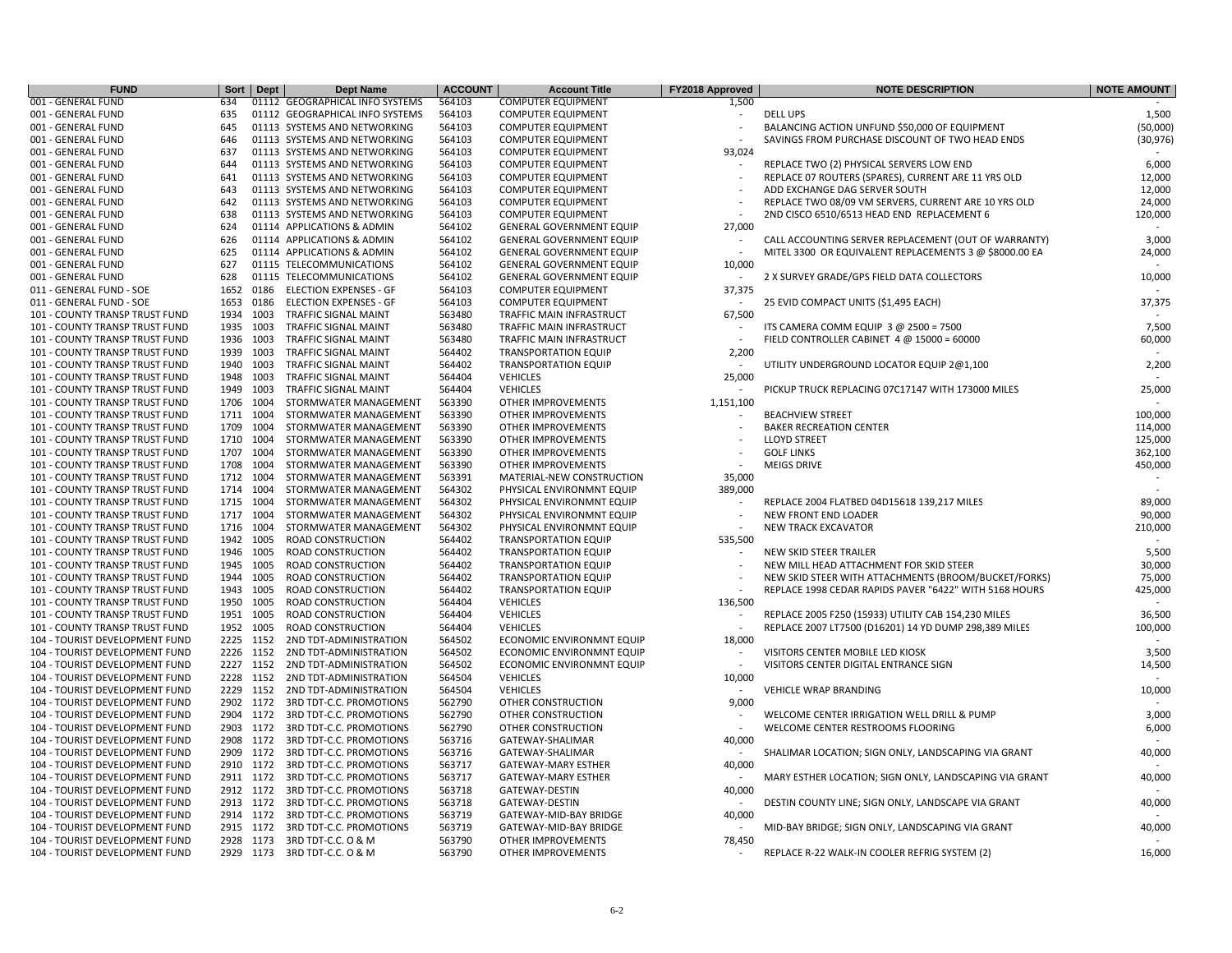| <b>FUND</b>                           | Sort      | <b>Dept</b> | <b>Dept Name</b>                | <b>ACCOUNT</b> | <b>Account Title</b>            | FY2018 Approved          | <b>NOTE DESCRIPTION</b>                                | <b>NOTE AMOUNT</b> |
|---------------------------------------|-----------|-------------|---------------------------------|----------------|---------------------------------|--------------------------|--------------------------------------------------------|--------------------|
| 001 - GENERAL FUND                    | 634       |             | 01112 GEOGRAPHICAL INFO SYSTEMS | 564103         | <b>COMPUTER EQUIPMENT</b>       | 1,500                    |                                                        |                    |
| 001 - GENERAL FUND                    | 635       |             | 01112 GEOGRAPHICAL INFO SYSTEMS | 564103         | <b>COMPUTER EQUIPMENT</b>       |                          | <b>DELL UPS</b>                                        | 1,500              |
| 001 - GENERAL FUND                    | 645       |             | 01113 SYSTEMS AND NETWORKING    | 564103         | <b>COMPUTER EQUIPMENT</b>       |                          | BALANCING ACTION UNFUND \$50,000 OF EQUIPMENT          | (50,000)           |
| 001 - GENERAL FUND                    | 646       |             | 01113 SYSTEMS AND NETWORKING    | 564103         | <b>COMPUTER EQUIPMENT</b>       |                          | SAVINGS FROM PURCHASE DISCOUNT OF TWO HEAD ENDS        | (30, 976)          |
| 001 - GENERAL FUND                    | 637       |             | 01113 SYSTEMS AND NETWORKING    | 564103         | <b>COMPUTER EQUIPMENT</b>       | 93,024                   |                                                        |                    |
| 001 - GENERAL FUND                    | 644       |             | 01113 SYSTEMS AND NETWORKING    | 564103         | <b>COMPUTER EQUIPMENT</b>       |                          | REPLACE TWO (2) PHYSICAL SERVERS LOW END               | 6,000              |
| 001 - GENERAL FUND                    | 641       |             | 01113 SYSTEMS AND NETWORKING    | 564103         | <b>COMPUTER EQUIPMENT</b>       |                          | REPLACE 07 ROUTERS (SPARES), CURRENT ARE 11 YRS OLD    | 12,000             |
| 001 - GENERAL FUND                    | 643       |             | 01113 SYSTEMS AND NETWORKING    | 564103         | <b>COMPUTER EQUIPMENT</b>       |                          | ADD EXCHANGE DAG SERVER SOUTH                          | 12,000             |
| 001 - GENERAL FUND                    | 642       |             | 01113 SYSTEMS AND NETWORKING    | 564103         | <b>COMPUTER EQUIPMENT</b>       |                          | REPLACE TWO 08/09 VM SERVERS, CURRENT ARE 10 YRS OLD   | 24,000             |
| 001 - GENERAL FUND                    | 638       |             | 01113 SYSTEMS AND NETWORKING    | 564103         | <b>COMPUTER EQUIPMENT</b>       |                          | 2ND CISCO 6510/6513 HEAD END REPLACEMENT 6             | 120,000            |
| 001 - GENERAL FUND                    | 624       |             | 01114 APPLICATIONS & ADMIN      | 564102         | <b>GENERAL GOVERNMENT EQUIP</b> | 27,000                   |                                                        |                    |
| 001 - GENERAL FUND                    | 626       |             | 01114 APPLICATIONS & ADMIN      | 564102         | <b>GENERAL GOVERNMENT EQUIP</b> |                          | CALL ACCOUNTING SERVER REPLACEMENT (OUT OF WARRANTY)   | 3,000              |
| 001 - GENERAL FUND                    | 625       |             | 01114 APPLICATIONS & ADMIN      | 564102         | <b>GENERAL GOVERNMENT EQUIP</b> |                          | MITEL 3300 OR EQUIVALENT REPLACEMENTS 3 @ \$8000.00 EA | 24,000             |
| 001 - GENERAL FUND                    | 627       |             | 01115 TELECOMMUNICATIONS        | 564102         | <b>GENERAL GOVERNMENT EQUIP</b> | 10,000                   |                                                        |                    |
| 001 - GENERAL FUND                    | 628       |             | 01115 TELECOMMUNICATIONS        | 564102         | <b>GENERAL GOVERNMENT EQUIP</b> |                          | 2 X SURVEY GRADE/GPS FIELD DATA COLLECTORS             | 10,000             |
| 011 - GENERAL FUND - SOE              | 1652      | 0186        | <b>ELECTION EXPENSES - GF</b>   | 564103         | <b>COMPUTER EQUIPMENT</b>       | 37,375                   |                                                        |                    |
| 011 - GENERAL FUND - SOE              | 1653      | 0186        | <b>ELECTION EXPENSES - GF</b>   | 564103         | <b>COMPUTER EQUIPMENT</b>       |                          | 25 EVID COMPACT UNITS (\$1,495 EACH)                   | 37,375             |
| <b>101 - COUNTY TRANSP TRUST FUND</b> | 1934      | 1003        | <b>TRAFFIC SIGNAL MAINT</b>     | 563480         | TRAFFIC MAIN INFRASTRUCT        | 67,500                   |                                                        |                    |
| 101 - COUNTY TRANSP TRUST FUND        | 1935      | 1003        | TRAFFIC SIGNAL MAINT            | 563480         | TRAFFIC MAIN INFRASTRUCT        |                          | ITS CAMERA COMM EQUIP 3 @ 2500 = 7500                  | 7,500              |
| 101 - COUNTY TRANSP TRUST FUND        | 1936      | 1003        | <b>TRAFFIC SIGNAL MAINT</b>     | 563480         | TRAFFIC MAIN INFRASTRUCT        |                          | FIELD CONTROLLER CABINET 4 @ 15000 = 60000             | 60,000             |
| <b>101 - COUNTY TRANSP TRUST FUND</b> | 1939      | 1003        | <b>TRAFFIC SIGNAL MAINT</b>     | 564402         | <b>TRANSPORTATION EQUIP</b>     | 2,200                    |                                                        |                    |
| 101 - COUNTY TRANSP TRUST FUND        | 1940      | 1003        | <b>TRAFFIC SIGNAL MAINT</b>     | 564402         | <b>TRANSPORTATION EQUIP</b>     | $\overline{a}$           | UTILITY UNDERGROUND LOCATOR EQUIP 2@1,100              | 2,200              |
| 101 - COUNTY TRANSP TRUST FUND        | 1948      | 1003        | TRAFFIC SIGNAL MAINT            | 564404         | <b>VEHICLES</b>                 | 25,000                   |                                                        |                    |
| 101 - COUNTY TRANSP TRUST FUND        | 1949      | 1003        | TRAFFIC SIGNAL MAINT            | 564404         | <b>VEHICLES</b>                 |                          | PICKUP TRUCK REPLACING 07C17147 WITH 173000 MILES      | 25,000             |
| 101 - COUNTY TRANSP TRUST FUND        | 1706      | 1004        | STORMWATER MANAGEMENT           | 563390         | OTHER IMPROVEMENTS              | 1,151,100                |                                                        |                    |
| 101 - COUNTY TRANSP TRUST FUND        | 1711      | 1004        | STORMWATER MANAGEMENT           | 563390         | OTHER IMPROVEMENTS              |                          | <b>BEACHVIEW STREET</b>                                | 100,000            |
| <b>101 - COUNTY TRANSP TRUST FUND</b> | 1709      | 1004        | STORMWATER MANAGEMENT           | 563390         | <b>OTHER IMPROVEMENTS</b>       |                          | <b>BAKER RECREATION CENTER</b>                         | 114,000            |
| 101 - COUNTY TRANSP TRUST FUND        | 1710      | 1004        | STORMWATER MANAGEMENT           | 563390         | OTHER IMPROVEMENTS              |                          | <b>LLOYD STREET</b>                                    | 125,000            |
| 101 - COUNTY TRANSP TRUST FUND        | 1707      | 1004        | STORMWATER MANAGEMENT           | 563390         | OTHER IMPROVEMENTS              |                          | <b>GOLF LINKS</b>                                      | 362,100            |
| 101 - COUNTY TRANSP TRUST FUND        | 1708      | 1004        | STORMWATER MANAGEMENT           | 563390         | OTHER IMPROVEMENTS              |                          | <b>MEIGS DRIVE</b>                                     | 450,000            |
| 101 - COUNTY TRANSP TRUST FUND        | 1712      | 1004        | STORMWATER MANAGEMENT           | 563391         | MATERIAL-NEW CONSTRUCTION       | 35,000                   |                                                        |                    |
| <b>101 - COUNTY TRANSP TRUST FUND</b> | 1714 1004 |             | STORMWATER MANAGEMENT           | 564302         | PHYSICAL ENVIRONMNT EQUIP       | 389,000                  |                                                        |                    |
| 101 - COUNTY TRANSP TRUST FUND        | 1715      | 1004        | STORMWATER MANAGEMENT           | 564302         | PHYSICAL ENVIRONMNT EQUIP       |                          | REPLACE 2004 FLATBED 04D15618 139,217 MILES            | 89,000             |
| 101 - COUNTY TRANSP TRUST FUND        | 1717 1004 |             | STORMWATER MANAGEMENT           | 564302         | PHYSICAL ENVIRONMNT EQUIP       | $\overline{\phantom{a}}$ | <b>NEW FRONT END LOADER</b>                            | 90,000             |
| 101 - COUNTY TRANSP TRUST FUND        | 1716      | 1004        | STORMWATER MANAGEMENT           | 564302         | PHYSICAL ENVIRONMNT EQUIP       |                          | <b>NEW TRACK EXCAVATOR</b>                             | 210,000            |
| 101 - COUNTY TRANSP TRUST FUND        | 1942      | 1005        | <b>ROAD CONSTRUCTION</b>        | 564402         | <b>TRANSPORTATION EQUIP</b>     | 535,500                  |                                                        |                    |
| 101 - COUNTY TRANSP TRUST FUND        | 1946      | 1005        | <b>ROAD CONSTRUCTION</b>        | 564402         | <b>TRANSPORTATION EQUIP</b>     |                          | NEW SKID STEER TRAILER                                 | 5,500              |
| 101 - COUNTY TRANSP TRUST FUND        | 1945      | 1005        | ROAD CONSTRUCTION               | 564402         | <b>TRANSPORTATION EQUIP</b>     |                          | NEW MILL HEAD ATTACHMENT FOR SKID STEER                | 30,000             |
| 101 - COUNTY TRANSP TRUST FUND        | 1944      | 1005        | <b>ROAD CONSTRUCTION</b>        | 564402         | <b>TRANSPORTATION EQUIP</b>     |                          | NEW SKID STEER WITH ATTACHMENTS (BROOM/BUCKET/FORKS)   | 75,000             |
| 101 - COUNTY TRANSP TRUST FUND        | 1943      | 1005        | ROAD CONSTRUCTION               | 564402         | <b>TRANSPORTATION EQUIP</b>     |                          | REPLACE 1998 CEDAR RAPIDS PAVER "6422" WITH 5168 HOURS | 425,000            |
| 101 - COUNTY TRANSP TRUST FUND        | 1950      | 1005        | <b>ROAD CONSTRUCTION</b>        | 564404         | <b>VEHICLES</b>                 | 136,500                  |                                                        | $\sim$             |
| 101 - COUNTY TRANSP TRUST FUND        | 1951 1005 |             | <b>ROAD CONSTRUCTION</b>        | 564404         | <b>VEHICLES</b>                 |                          | REPLACE 2005 F250 (15933) UTILITY CAB 154,230 MILES    | 36,500             |
| <b>101 - COUNTY TRANSP TRUST FUND</b> | 1952      | 1005        | ROAD CONSTRUCTION               | 564404         | <b>VEHICLES</b>                 |                          | REPLACE 2007 LT7500 (D16201) 14 YD DUMP 298,389 MILES  | 100,000            |
| 104 - TOURIST DEVELOPMENT FUND        | 2225      | 1152        | 2ND TDT-ADMINISTRATION          | 564502         | ECONOMIC ENVIRONMNT EQUIP       | 18,000                   |                                                        |                    |
| 104 - TOURIST DEVELOPMENT FUND        | 2226 1152 |             | 2ND TDT-ADMINISTRATION          | 564502         | ECONOMIC ENVIRONMNT EQUIP       |                          | VISITORS CENTER MOBILE LED KIOSK                       | 3,500              |
| 104 - TOURIST DEVELOPMENT FUND        | 2227      | 1152        | 2ND TDT-ADMINISTRATION          | 564502         | ECONOMIC ENVIRONMNT EQUIP       |                          | VISITORS CENTER DIGITAL ENTRANCE SIGN                  | 14,500             |
| 104 - TOURIST DEVELOPMENT FUND        | 2228 1152 |             | 2ND TDT-ADMINISTRATION          | 564504         | <b>VEHICLES</b>                 | 10,000                   |                                                        |                    |
| 104 - TOURIST DEVELOPMENT FUND        | 2229      | 1152        | 2ND TDT-ADMINISTRATION          | 564504         | <b>VEHICLES</b>                 |                          | <b>VEHICLE WRAP BRANDING</b>                           | 10,000             |
| 104 - TOURIST DEVELOPMENT FUND        | 2902      | 1172        | 3RD TDT-C.C. PROMOTIONS         | 562790         | OTHER CONSTRUCTION              | 9,000                    |                                                        |                    |
| 104 - TOURIST DEVELOPMENT FUND        | 2904      | 1172        | 3RD TDT-C.C. PROMOTIONS         | 562790         | OTHER CONSTRUCTION              |                          | WELCOME CENTER IRRIGATION WELL DRILL & PUMP            | 3,000              |
| 104 - TOURIST DEVELOPMENT FUND        | 2903      | 1172        | 3RD TDT-C.C. PROMOTIONS         | 562790         | OTHER CONSTRUCTION              |                          | WELCOME CENTER RESTROOMS FLOORING                      | 6,000              |
| 104 - TOURIST DEVELOPMENT FUND        | 2908 1172 |             | 3RD TDT-C.C. PROMOTIONS         | 563716         | GATEWAY-SHALIMAR                | 40,000                   |                                                        |                    |
| 104 - TOURIST DEVELOPMENT FUND        | 2909 1172 |             | 3RD TDT-C.C. PROMOTIONS         | 563716         | GATEWAY-SHALIMAR                |                          | SHALIMAR LOCATION; SIGN ONLY, LANDSCAPING VIA GRANT    | 40,000             |
| 104 - TOURIST DEVELOPMENT FUND        | 2910      | 1172        | 3RD TDT-C.C. PROMOTIONS         | 563717         | <b>GATEWAY-MARY ESTHER</b>      | 40,000                   |                                                        |                    |
| 104 - TOURIST DEVELOPMENT FUND        | 2911      | 1172        | 3RD TDT-C.C. PROMOTIONS         | 563717         | GATEWAY-MARY ESTHER             |                          | MARY ESTHER LOCATION; SIGN ONLY, LANDSCAPING VIA GRANT | 40,000             |
| 104 - TOURIST DEVELOPMENT FUND        | 2912 1172 |             | 3RD TDT-C.C. PROMOTIONS         | 563718         | GATEWAY-DESTIN                  | 40,000                   |                                                        |                    |
| 104 - TOURIST DEVELOPMENT FUND        |           | 2913 1172   | 3RD TDT-C.C. PROMOTIONS         | 563718         | GATEWAY-DESTIN                  |                          | DESTIN COUNTY LINE; SIGN ONLY, LANDSCAPE VIA GRANT     | 40,000             |
| 104 - TOURIST DEVELOPMENT FUND        | 2914 1172 |             | 3RD TDT-C.C. PROMOTIONS         | 563719         | GATEWAY-MID-BAY BRIDGE          | 40,000                   |                                                        |                    |
| 104 - TOURIST DEVELOPMENT FUND        | 2915      | 1172        | 3RD TDT-C.C. PROMOTIONS         | 563719         | GATEWAY-MID-BAY BRIDGE          |                          | MID-BAY BRIDGE; SIGN ONLY, LANDSCAPING VIA GRANT       | 40,000             |
| 104 - TOURIST DEVELOPMENT FUND        | 2928      | 1173        | 3RD TDT-C.C. O & M              | 563790         | OTHER IMPROVEMENTS              | 78,450                   |                                                        |                    |
| 104 - TOURIST DEVELOPMENT FUND        |           | 2929 1173   | 3RD TDT-C.C. O & M              | 563790         | <b>OTHER IMPROVEMENTS</b>       | $\overline{a}$           | REPLACE R-22 WALK-IN COOLER REFRIG SYSTEM (2)          | 16,000             |
|                                       |           |             |                                 |                |                                 |                          |                                                        |                    |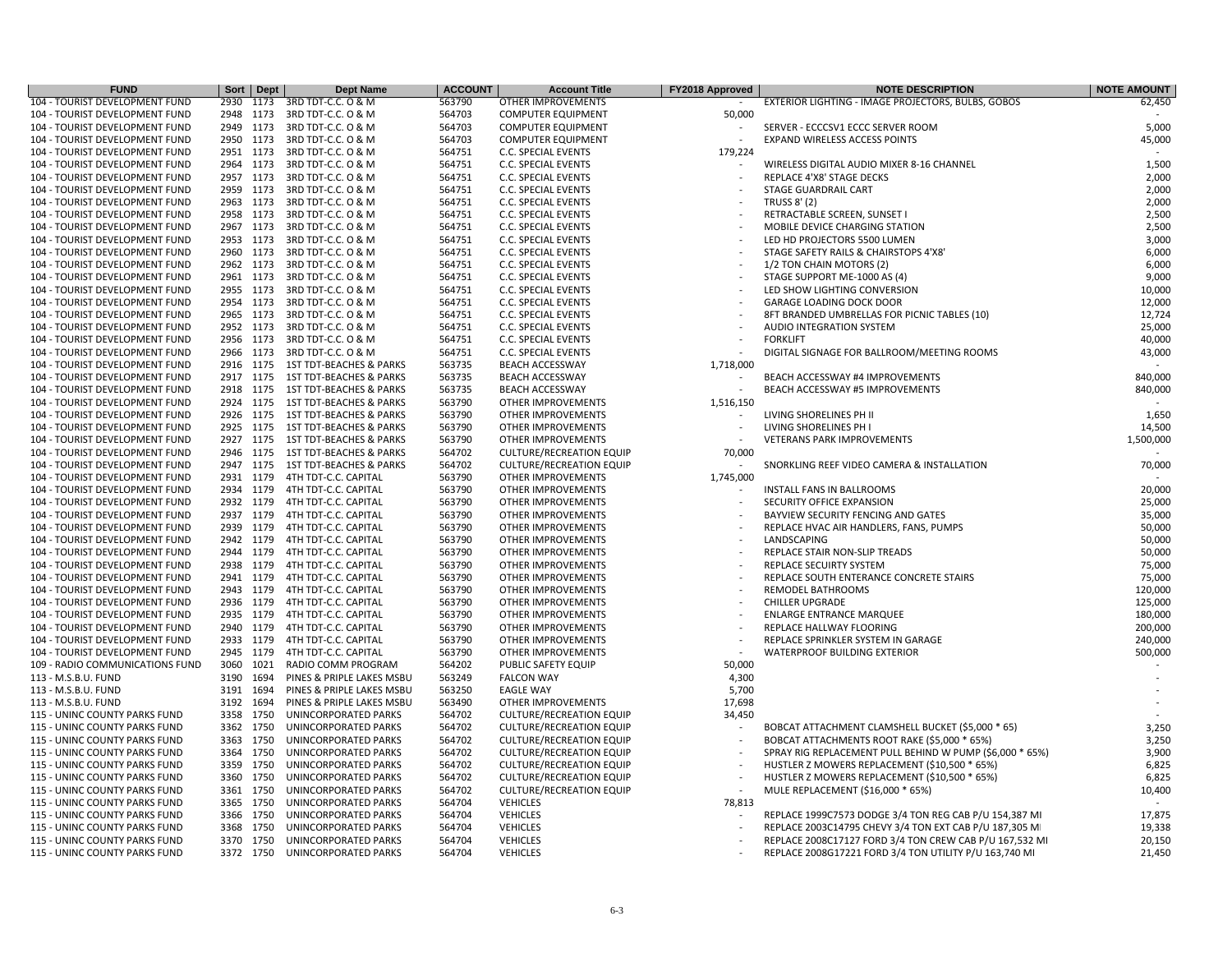| <b>FUND</b>                                                    |           | Sort Dept | <b>Dept Name</b>                   | <b>ACCOUNT</b> | <b>Account Title</b>            | FY2018 Approved | <b>NOTE DESCRIPTION</b>                                  | <b>NOTE AMOUNT</b> |
|----------------------------------------------------------------|-----------|-----------|------------------------------------|----------------|---------------------------------|-----------------|----------------------------------------------------------|--------------------|
| 104 - TOURIST DEVELOPMENT FUND                                 | 2930      | 1173      | 3RD TDT-C.C. O & M                 | 563790         | OTHER IMPROVEMENTS              |                 | EXTERIOR LIGHTING - IMAGE PROJECTORS, BULBS, GOBOS       | 62,450             |
| 104 - TOURIST DEVELOPMENT FUND                                 | 2948 1173 |           | 3RD TDT-C.C. O & M                 | 564703         | <b>COMPUTER EQUIPMENT</b>       | 50,000          |                                                          |                    |
| 104 - TOURIST DEVELOPMENT FUND                                 | 2949 1173 |           | 3RD TDT-C.C. O & M                 | 564703         | <b>COMPUTER EQUIPMENT</b>       |                 | SERVER - ECCCSV1 ECCC SERVER ROOM                        | 5,000              |
| 104 - TOURIST DEVELOPMENT FUND                                 | 2950      | 1173      | 3RD TDT-C.C. O & M                 | 564703         | <b>COMPUTER EQUIPMENT</b>       |                 | EXPAND WIRELESS ACCESS POINTS                            | 45,000             |
| 104 - TOURIST DEVELOPMENT FUND                                 | 2951      | 1173      | 3RD TDT-C.C. O & M                 | 564751         | <b>C.C. SPECIAL EVENTS</b>      | 179,224         |                                                          |                    |
| 104 - TOURIST DEVELOPMENT FUND                                 | 2964      | 1173      | 3RD TDT-C.C. O & M                 | 564751         | <b>C.C. SPECIAL EVENTS</b>      |                 | WIRELESS DIGITAL AUDIO MIXER 8-16 CHANNEL                | 1,500              |
| 104 - TOURIST DEVELOPMENT FUND                                 | 2957 1173 |           | 3RD TDT-C.C. O & M                 | 564751         | C.C. SPECIAL EVENTS             |                 | REPLACE 4'X8' STAGE DECKS                                | 2,000              |
| 104 - TOURIST DEVELOPMENT FUND                                 | 2959 1173 |           | 3RD TDT-C.C. O & M                 | 564751         | C.C. SPECIAL EVENTS             |                 | STAGE GUARDRAIL CART                                     | 2,000              |
| 104 - TOURIST DEVELOPMENT FUND                                 | 2963      | 1173      | 3RD TDT-C.C. O & M                 | 564751         | <b>C.C. SPECIAL EVENTS</b>      |                 | <b>TRUSS 8' (2)</b>                                      | 2,000              |
| 104 - TOURIST DEVELOPMENT FUND                                 | 2958      | 1173      | 3RD TDT-C.C. O & M                 | 564751         | <b>C.C. SPECIAL EVENTS</b>      |                 | RETRACTABLE SCREEN, SUNSET I                             | 2,500              |
| 104 - TOURIST DEVELOPMENT FUND                                 | 2967      | 1173      | 3RD TDT-C.C. O & M                 | 564751         | C.C. SPECIAL EVENTS             |                 | MOBILE DEVICE CHARGING STATION                           | 2,500              |
| 104 - TOURIST DEVELOPMENT FUND                                 | 2953      | 1173      | 3RD TDT-C.C. O & M                 | 564751         | <b>C.C. SPECIAL EVENTS</b>      |                 | LED HD PROJECTORS 5500 LUMEN                             | 3,000              |
| 104 - TOURIST DEVELOPMENT FUND                                 | 2960 1173 |           | 3RD TDT-C.C. O & M                 | 564751         | <b>C.C. SPECIAL EVENTS</b>      |                 | STAGE SAFETY RAILS & CHAIRSTOPS 4'X8'                    | 6,000              |
| 104 - TOURIST DEVELOPMENT FUND                                 | 2962      | 1173      | 3RD TDT-C.C. O & M                 | 564751         | C.C. SPECIAL EVENTS             |                 | 1/2 TON CHAIN MOTORS (2)                                 | 6,000              |
| 104 - TOURIST DEVELOPMENT FUND                                 | 2961      | 1173      | 3RD TDT-C.C. O & M                 | 564751         | C.C. SPECIAL EVENTS             |                 | STAGE SUPPORT ME-1000 AS (4)                             | 9,000              |
|                                                                |           |           |                                    | 564751         |                                 |                 |                                                          | 10,000             |
| 104 - TOURIST DEVELOPMENT FUND                                 | 2955      | 1173      | 3RD TDT-C.C. O & M                 |                | C.C. SPECIAL EVENTS             |                 | LED SHOW LIGHTING CONVERSION                             | 12,000             |
| 104 - TOURIST DEVELOPMENT FUND                                 | 2954      | 1173      | 3RD TDT-C.C. O & M                 | 564751         | C.C. SPECIAL EVENTS             |                 | <b>GARAGE LOADING DOCK DOOR</b>                          |                    |
| 104 - TOURIST DEVELOPMENT FUND                                 | 2965 1173 |           | 3RD TDT-C.C. O & M                 | 564751         | <b>C.C. SPECIAL EVENTS</b>      |                 | 8FT BRANDED UMBRELLAS FOR PICNIC TABLES (10)             | 12,724             |
| 104 - TOURIST DEVELOPMENT FUND                                 | 2952      | 1173      | 3RD TDT-C.C. O & M                 | 564751         | <b>C.C. SPECIAL EVENTS</b>      |                 | AUDIO INTEGRATION SYSTEM                                 | 25,000             |
| 104 - TOURIST DEVELOPMENT FUND                                 | 2956 1173 |           | 3RD TDT-C.C. O & M                 | 564751         | C.C. SPECIAL EVENTS             |                 | <b>FORKLIFT</b>                                          | 40,000             |
| 104 - TOURIST DEVELOPMENT FUND                                 | 2966      | 1173      | 3RD TDT-C.C. O & M                 | 564751         | C.C. SPECIAL EVENTS             |                 | DIGITAL SIGNAGE FOR BALLROOM/MEETING ROOMS               | 43,000             |
| 104 - TOURIST DEVELOPMENT FUND                                 | 2916      | 1175      | <b>1ST TDT-BEACHES &amp; PARKS</b> | 563735         | <b>BEACH ACCESSWAY</b>          | 1,718,000       |                                                          |                    |
| 104 - TOURIST DEVELOPMENT FUND                                 | 2917      | 1175      | <b>1ST TDT-BEACHES &amp; PARKS</b> | 563735         | <b>BEACH ACCESSWAY</b>          |                 | BEACH ACCESSWAY #4 IMPROVEMENTS                          | 840,000            |
| 104 - TOURIST DEVELOPMENT FUND                                 | 2918      | 1175      | 1ST TDT-BEACHES & PARKS            | 563735         | <b>BEACH ACCESSWAY</b>          |                 | BEACH ACCESSWAY #5 IMPROVEMENTS                          | 840,000            |
| 104 - TOURIST DEVELOPMENT FUND                                 | 2924 1175 |           | <b>1ST TDT-BEACHES &amp; PARKS</b> | 563790         | <b>OTHER IMPROVEMENTS</b>       | 1,516,150       |                                                          |                    |
| 104 - TOURIST DEVELOPMENT FUND                                 | 2926      | 1175      | <b>1ST TDT-BEACHES &amp; PARKS</b> | 563790         | <b>OTHER IMPROVEMENTS</b>       |                 | LIVING SHORELINES PH II                                  | 1,650              |
| 104 - TOURIST DEVELOPMENT FUND                                 | 2925      | 1175      | <b>1ST TDT-BEACHES &amp; PARKS</b> | 563790         | <b>OTHER IMPROVEMENTS</b>       |                 | LIVING SHORELINES PH I                                   | 14,500             |
| 104 - TOURIST DEVELOPMENT FUND                                 | 2927      | 1175      | 1ST TDT-BEACHES & PARKS            | 563790         | OTHER IMPROVEMENTS              |                 | <b>VETERANS PARK IMPROVEMENTS</b>                        | 1,500,000          |
| 104 - TOURIST DEVELOPMENT FUND                                 | 2946      | 1175      | <b>1ST TDT-BEACHES &amp; PARKS</b> | 564702         | <b>CULTURE/RECREATION EQUIP</b> | 70,000          |                                                          |                    |
| 104 - TOURIST DEVELOPMENT FUND                                 | 2947 1175 |           | <b>1ST TDT-BEACHES &amp; PARKS</b> | 564702         | <b>CULTURE/RECREATION EQUIP</b> |                 | SNORKLING REEF VIDEO CAMERA & INSTALLATION               | 70,000             |
| 104 - TOURIST DEVELOPMENT FUND                                 | 2931      | 1179      | 4TH TDT-C.C. CAPITAL               | 563790         | <b>OTHER IMPROVEMENTS</b>       | 1,745,000       |                                                          |                    |
| 104 - TOURIST DEVELOPMENT FUND                                 | 2934 1179 |           | 4TH TDT-C.C. CAPITAL               | 563790         | <b>OTHER IMPROVEMENTS</b>       |                 | <b>INSTALL FANS IN BALLROOMS</b>                         | 20,000             |
| 104 - TOURIST DEVELOPMENT FUND                                 | 2932      | 1179      | 4TH TDT-C.C. CAPITAL               | 563790         | OTHER IMPROVEMENTS              |                 | SECURITY OFFICE EXPANSION                                | 25,000             |
| 104 - TOURIST DEVELOPMENT FUND                                 | 2937      | 1179      | 4TH TDT-C.C. CAPITAL               | 563790         | <b>OTHER IMPROVEMENTS</b>       |                 | BAYVIEW SECURITY FENCING AND GATES                       | 35,000             |
| 104 - TOURIST DEVELOPMENT FUND                                 | 2939      | 1179      | 4TH TDT-C.C. CAPITAL               | 563790         | OTHER IMPROVEMENTS              |                 | REPLACE HVAC AIR HANDLERS, FANS, PUMPS                   | 50,000             |
| 104 - TOURIST DEVELOPMENT FUND                                 | 2942      | 1179      | 4TH TDT-C.C. CAPITAL               | 563790         | OTHER IMPROVEMENTS              |                 | LANDSCAPING                                              | 50,000             |
| 104 - TOURIST DEVELOPMENT FUND                                 | 2944 1179 |           | 4TH TDT-C.C. CAPITAL               | 563790         | <b>OTHER IMPROVEMENTS</b>       |                 | REPLACE STAIR NON-SLIP TREADS                            | 50,000             |
| 104 - TOURIST DEVELOPMENT FUND                                 | 2938      | 1179      | 4TH TDT-C.C. CAPITAL               | 563790         | OTHER IMPROVEMENTS              |                 | REPLACE SECUIRTY SYSTEM                                  | 75,000             |
| 104 - TOURIST DEVELOPMENT FUND                                 | 2941      | 1179      | 4TH TDT-C.C. CAPITAL               | 563790         | OTHER IMPROVEMENTS              |                 | REPLACE SOUTH ENTERANCE CONCRETE STAIRS                  | 75,000             |
| 104 - TOURIST DEVELOPMENT FUND                                 | 2943 1179 |           | 4TH TDT-C.C. CAPITAL               | 563790         | <b>OTHER IMPROVEMENTS</b>       |                 | REMODEL BATHROOMS                                        | 120,000            |
| 104 - TOURIST DEVELOPMENT FUND                                 | 2936      | 1179      | 4TH TDT-C.C. CAPITAL               | 563790         | OTHER IMPROVEMENTS              |                 | <b>CHILLER UPGRADE</b>                                   | 125,000            |
| 104 - TOURIST DEVELOPMENT FUND                                 | 2935 1179 |           | 4TH TDT-C.C. CAPITAL               | 563790         | OTHER IMPROVEMENTS              |                 | <b>ENLARGE ENTRANCE MARQUEE</b>                          | 180,000            |
| 104 - TOURIST DEVELOPMENT FUND                                 | 2940      | 1179      | 4TH TDT-C.C. CAPITAL               | 563790         | OTHER IMPROVEMENTS              |                 | REPLACE HALLWAY FLOORING                                 | 200,000            |
| 104 - TOURIST DEVELOPMENT FUND                                 | 2933      | 1179      | 4TH TDT-C.C. CAPITAL               | 563790         | OTHER IMPROVEMENTS              |                 | REPLACE SPRINKLER SYSTEM IN GARAGE                       | 240,000            |
| 104 - TOURIST DEVELOPMENT FUND                                 | 2945 1179 |           | 4TH TDT-C.C. CAPITAL               | 563790         | <b>OTHER IMPROVEMENTS</b>       |                 | <b>WATERPROOF BUILDING EXTERIOR</b>                      | 500,000            |
| 109 - RADIO COMMUNICATIONS FUND                                | 3060      | 1021      | RADIO COMM PROGRAM                 | 564202         | PUBLIC SAFETY EQUIP             | 50,000          |                                                          |                    |
| 113 - M.S.B.U. FUND                                            | 3190      | 1694      | PINES & PRIPLE LAKES MSBU          | 563249         | <b>FALCON WAY</b>               | 4,300           |                                                          |                    |
| 113 - M.S.B.U. FUND                                            | 3191      | 1694      | PINES & PRIPLE LAKES MSBU          | 563250         | <b>EAGLE WAY</b>                | 5,700           |                                                          |                    |
| 113 - M.S.B.U. FUND                                            | 3192      | 1694      | PINES & PRIPLE LAKES MSBU          | 563490         | OTHER IMPROVEMENTS              | 17,698          |                                                          |                    |
|                                                                | 3358      | 1750      | UNINCORPORATED PARKS               | 564702         | <b>CULTURE/RECREATION EQUIP</b> |                 |                                                          |                    |
| 115 - UNINC COUNTY PARKS FUND<br>115 - UNINC COUNTY PARKS FUND | 3362 1750 |           | UNINCORPORATED PARKS               | 564702         | <b>CULTURE/RECREATION EQUIP</b> | 34,450          |                                                          | 3,250              |
|                                                                |           |           |                                    |                |                                 |                 | BOBCAT ATTACHMENT CLAMSHELL BUCKET (\$5,000 * 65)        |                    |
| 115 - UNINC COUNTY PARKS FUND                                  | 3363 1750 |           | UNINCORPORATED PARKS               | 564702         | <b>CULTURE/RECREATION EQUIP</b> |                 | BOBCAT ATTACHMENTS ROOT RAKE (\$5,000 * 65%)             | 3,250              |
| 115 - UNINC COUNTY PARKS FUND                                  | 3364      | 1750      | UNINCORPORATED PARKS               | 564702         | <b>CULTURE/RECREATION EQUIP</b> |                 | SPRAY RIG REPLACEMENT PULL BEHIND W PUMP (\$6,000 * 65%) | 3,900              |
| 115 - UNINC COUNTY PARKS FUND                                  | 3359      | 1750      | UNINCORPORATED PARKS               | 564702         | <b>CULTURE/RECREATION EQUIP</b> |                 | HUSTLER Z MOWERS REPLACEMENT (\$10,500 * 65%)            | 6,825              |
| 115 - UNINC COUNTY PARKS FUND                                  | 3360      | 1750      | UNINCORPORATED PARKS               | 564702         | <b>CULTURE/RECREATION EQUIP</b> |                 | HUSTLER Z MOWERS REPLACEMENT (\$10,500 * 65%)            | 6,825              |
| 115 - UNINC COUNTY PARKS FUND                                  | 3361      | 1750      | UNINCORPORATED PARKS               | 564702         | <b>CULTURE/RECREATION EQUIP</b> |                 | MULE REPLACEMENT (\$16,000 * 65%)                        | 10,400             |
| 115 - UNINC COUNTY PARKS FUND                                  | 3365 1750 |           | UNINCORPORATED PARKS               | 564704         | <b>VEHICLES</b>                 | 78,813          |                                                          |                    |
| 115 - UNINC COUNTY PARKS FUND                                  | 3366 1750 |           | UNINCORPORATED PARKS               | 564704         | <b>VEHICLES</b>                 |                 | REPLACE 1999C7573 DODGE 3/4 TON REG CAB P/U 154,387 MI   | 17,875             |
| 115 - UNINC COUNTY PARKS FUND                                  | 3368      | 1750      | UNINCORPORATED PARKS               | 564704         | <b>VEHICLES</b>                 |                 | REPLACE 2003C14795 CHEVY 3/4 TON EXT CAB P/U 187,305 MI  | 19,338             |
| 115 - UNINC COUNTY PARKS FUND                                  | 3370      | 1750      | UNINCORPORATED PARKS               | 564704         | <b>VEHICLES</b>                 |                 | REPLACE 2008C17127 FORD 3/4 TON CREW CAB P/U 167,532 MI  | 20,150             |
| 115 - UNINC COUNTY PARKS FUND                                  | 3372 1750 |           | UNINCORPORATED PARKS               | 564704         | <b>VEHICLES</b>                 |                 | REPLACE 2008G17221 FORD 3/4 TON UTILITY P/U 163,740 MI   | 21,450             |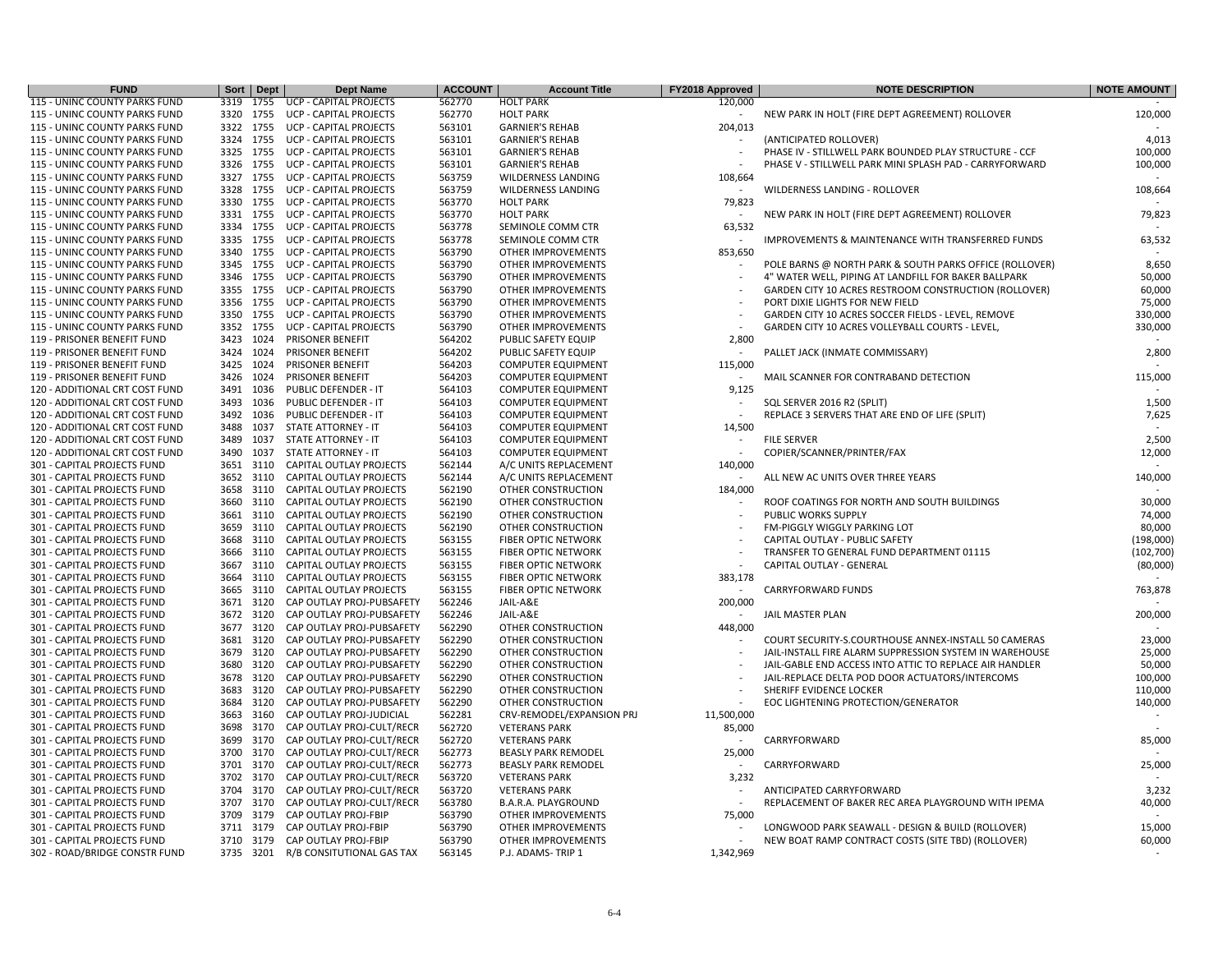| <b>FUND</b>                                                | Sort         | Dept | <b>Dept Name</b>                                       | <b>ACCOUNT</b> | <b>Account Title</b>                     | FY2018 Approved | <b>NOTE DESCRIPTION</b>                                                    | <b>NOTE AMOUNT</b> |
|------------------------------------------------------------|--------------|------|--------------------------------------------------------|----------------|------------------------------------------|-----------------|----------------------------------------------------------------------------|--------------------|
| 115 - UNINC COUNTY PARKS FUND                              | 3319         | 1755 | <b>UCP - CAPITAL PROJECTS</b>                          | 562770         | <b>HOLT PARK</b>                         | 120,000         |                                                                            |                    |
| <b>115 - UNINC COUNTY PARKS FUND</b>                       | 3320 1755    |      | <b>UCP - CAPITAL PROJECTS</b>                          | 562770         | <b>HOLT PARK</b>                         |                 | NEW PARK IN HOLT (FIRE DEPT AGREEMENT) ROLLOVER                            | 120,000            |
| 115 - UNINC COUNTY PARKS FUND                              | 3322 1755    |      | <b>UCP - CAPITAL PROJECTS</b>                          | 563101         | <b>GARNIER'S REHAB</b>                   | 204,013         |                                                                            |                    |
| 115 - UNINC COUNTY PARKS FUND                              | 3324 1755    |      | UCP - CAPITAL PROJECTS                                 | 563101         | <b>GARNIER'S REHAB</b>                   |                 | (ANTICIPATED ROLLOVER)                                                     | 4,013              |
| 115 - UNINC COUNTY PARKS FUND                              | 3325         | 1755 | <b>UCP - CAPITAL PROJECTS</b>                          | 563101         | <b>GARNIER'S REHAB</b>                   |                 | PHASE IV - STILLWELL PARK BOUNDED PLAY STRUCTURE - CCF                     | 100,000            |
| 115 - UNINC COUNTY PARKS FUND                              | 3326         | 1755 | <b>UCP - CAPITAL PROJECTS</b>                          | 563101         | <b>GARNIER'S REHAB</b>                   |                 | PHASE V - STILLWELL PARK MINI SPLASH PAD - CARRYFORWARD                    | 100,000            |
| <b>115 - UNINC COUNTY PARKS FUND</b>                       | 3327 1755    |      | <b>UCP - CAPITAL PROJECTS</b>                          | 563759         | <b>WILDERNESS LANDING</b>                | 108,664         |                                                                            |                    |
| 115 - UNINC COUNTY PARKS FUND                              | 3328         | 1755 | <b>UCP - CAPITAL PROJECTS</b>                          | 563759         | <b>WILDERNESS LANDING</b>                |                 | WILDERNESS LANDING - ROLLOVER                                              | 108,664            |
| 115 - UNINC COUNTY PARKS FUND                              | 3330         | 1755 | <b>UCP - CAPITAL PROJECTS</b>                          | 563770         | <b>HOLT PARK</b>                         | 79,823          |                                                                            |                    |
| 115 - UNINC COUNTY PARKS FUND                              | 3331 1755    |      | UCP - CAPITAL PROJECTS                                 | 563770         | <b>HOLT PARK</b>                         |                 | NEW PARK IN HOLT (FIRE DEPT AGREEMENT) ROLLOVER                            | 79,823             |
| 115 - UNINC COUNTY PARKS FUND                              | 3334 1755    |      | <b>UCP - CAPITAL PROJECTS</b>                          | 563778         | SEMINOLE COMM CTR                        | 63,532          |                                                                            |                    |
| <b>115 - UNINC COUNTY PARKS FUND</b>                       | 3335 1755    |      | <b>UCP - CAPITAL PROJECTS</b>                          | 563778         | SEMINOLE COMM CTR                        |                 | <b>IMPROVEMENTS &amp; MAINTENANCE WITH TRANSFERRED FUNDS</b>               | 63,532             |
| 115 - UNINC COUNTY PARKS FUND                              | 3340         | 1755 | <b>UCP - CAPITAL PROJECTS</b>                          | 563790         | OTHER IMPROVEMENTS                       | 853,650         |                                                                            |                    |
| 115 - UNINC COUNTY PARKS FUND                              | 3345         | 1755 | <b>UCP - CAPITAL PROJECTS</b>                          | 563790         | <b>OTHER IMPROVEMENTS</b>                |                 | POLE BARNS @ NORTH PARK & SOUTH PARKS OFFICE (ROLLOVER)                    | 8,650              |
| 115 - UNINC COUNTY PARKS FUND                              | 3346 1755    |      | UCP - CAPITAL PROJECTS                                 | 563790         | OTHER IMPROVEMENTS                       |                 | 4" WATER WELL, PIPING AT LANDFILL FOR BAKER BALLPARK                       | 50,000             |
| 115 - UNINC COUNTY PARKS FUND                              | 3355         | 1755 | <b>UCP - CAPITAL PROJECTS</b>                          | 563790         | <b>OTHER IMPROVEMENTS</b>                |                 | GARDEN CITY 10 ACRES RESTROOM CONSTRUCTION (ROLLOVER)                      | 60,000             |
| 115 - UNINC COUNTY PARKS FUND                              | 3356 1755    |      | <b>UCP - CAPITAL PROJECTS</b>                          | 563790         | <b>OTHER IMPROVEMENTS</b>                |                 | PORT DIXIE LIGHTS FOR NEW FIELD                                            | 75,000             |
| 115 - UNINC COUNTY PARKS FUND                              | 3350         | 1755 | <b>UCP - CAPITAL PROJECTS</b>                          | 563790         | <b>OTHER IMPROVEMENTS</b>                |                 | GARDEN CITY 10 ACRES SOCCER FIELDS - LEVEL, REMOVE                         | 330,000            |
| 115 - UNINC COUNTY PARKS FUND                              | 3352         | 1755 | <b>UCP - CAPITAL PROJECTS</b>                          | 563790         | OTHER IMPROVEMENTS                       |                 | GARDEN CITY 10 ACRES VOLLEYBALL COURTS - LEVEL,                            | 330,000            |
| 119 - PRISONER BENEFIT FUND                                | 3423         | 1024 | PRISONER BENEFIT                                       | 564202         | PUBLIC SAFETY EQUIP                      | 2,800           |                                                                            |                    |
| 119 - PRISONER BENEFIT FUND                                | 3424         | 1024 | PRISONER BENEFIT                                       | 564202         | PUBLIC SAFETY EQUIP                      |                 | PALLET JACK (INMATE COMMISSARY)                                            | 2,800              |
| 119 - PRISONER BENEFIT FUND                                | 3425         | 1024 | PRISONER BENEFIT                                       | 564203         | <b>COMPUTER EQUIPMENT</b>                | 115,000         |                                                                            |                    |
| 119 - PRISONER BENEFIT FUND                                | 3426         | 1024 | PRISONER BENEFIT                                       | 564203         | <b>COMPUTER EQUIPMENT</b>                |                 | MAIL SCANNER FOR CONTRABAND DETECTION                                      | 115,000            |
| 120 - ADDITIONAL CRT COST FUND                             | 3491         | 1036 | PUBLIC DEFENDER - IT                                   | 564103         | <b>COMPUTER EQUIPMENT</b>                | 9,125           |                                                                            |                    |
| 120 - ADDITIONAL CRT COST FUND                             | 3493         | 1036 | PUBLIC DEFENDER - IT                                   | 564103         | <b>COMPUTER EQUIPMENT</b>                |                 | SQL SERVER 2016 R2 (SPLIT)                                                 | 1,500              |
| 120 - ADDITIONAL CRT COST FUND                             | 3492         | 1036 | PUBLIC DEFENDER - IT                                   | 564103         | <b>COMPUTER EQUIPMENT</b>                |                 | REPLACE 3 SERVERS THAT ARE END OF LIFE (SPLIT)                             | 7,625              |
| 120 - ADDITIONAL CRT COST FUND                             | 3488         | 1037 | <b>STATE ATTORNEY - IT</b>                             | 564103         | <b>COMPUTER EQUIPMENT</b>                | 14,500          |                                                                            |                    |
| 120 - ADDITIONAL CRT COST FUND                             | 3489         | 1037 | <b>STATE ATTORNEY - IT</b>                             | 564103         | <b>COMPUTER EQUIPMENT</b>                |                 | <b>FILE SERVER</b>                                                         | 2,500              |
| 120 - ADDITIONAL CRT COST FUND                             | 3490         | 1037 | STATE ATTORNEY - IT                                    | 564103         | <b>COMPUTER EQUIPMENT</b>                |                 | COPIER/SCANNER/PRINTER/FAX                                                 | 12,000             |
| 301 - CAPITAL PROJECTS FUND                                | 3651         | 3110 | CAPITAL OUTLAY PROJECTS                                | 562144         | A/C UNITS REPLACEMENT                    | 140,000         |                                                                            |                    |
| 301 - CAPITAL PROJECTS FUND                                | 3652         | 3110 | CAPITAL OUTLAY PROJECTS                                | 562144         | A/C UNITS REPLACEMENT                    |                 | ALL NEW AC UNITS OVER THREE YEARS                                          | 140,000            |
| 301 - CAPITAL PROJECTS FUND                                | 3658         | 3110 | CAPITAL OUTLAY PROJECTS                                | 562190         | OTHER CONSTRUCTION                       | 184,000         |                                                                            |                    |
| 301 - CAPITAL PROJECTS FUND                                | 3660         | 3110 | CAPITAL OUTLAY PROJECTS                                | 562190         | OTHER CONSTRUCTION                       |                 | ROOF COATINGS FOR NORTH AND SOUTH BUILDINGS                                | 30,000             |
| 301 - CAPITAL PROJECTS FUND                                | 3661         | 3110 | CAPITAL OUTLAY PROJECTS                                | 562190         | OTHER CONSTRUCTION                       |                 | PUBLIC WORKS SUPPLY                                                        | 74,000             |
| 301 - CAPITAL PROJECTS FUND                                | 3659         | 3110 | <b>CAPITAL OUTLAY PROJECTS</b>                         | 562190         | OTHER CONSTRUCTION                       |                 | FM-PIGGLY WIGGLY PARKING LOT                                               | 80,000             |
| 301 - CAPITAL PROJECTS FUND                                | 3668         | 3110 | <b>CAPITAL OUTLAY PROJECTS</b>                         | 563155         | <b>FIBER OPTIC NETWORK</b>               |                 | CAPITAL OUTLAY - PUBLIC SAFETY                                             | (198,000)          |
| 301 - CAPITAL PROJECTS FUND                                | 3666         | 3110 | CAPITAL OUTLAY PROJECTS                                | 563155         | <b>FIBER OPTIC NETWORK</b>               |                 | TRANSFER TO GENERAL FUND DEPARTMENT 01115                                  | (102, 700)         |
| 301 - CAPITAL PROJECTS FUND                                | 3667         | 3110 | CAPITAL OUTLAY PROJECTS                                | 563155         | <b>FIBER OPTIC NETWORK</b>               |                 | CAPITAL OUTLAY - GENERAL                                                   | (80,000)           |
| 301 - CAPITAL PROJECTS FUND                                | 3664         | 3110 | CAPITAL OUTLAY PROJECTS                                | 563155         | <b>FIBER OPTIC NETWORK</b>               | 383,178         |                                                                            |                    |
| 301 - CAPITAL PROJECTS FUND                                | 3665         | 3110 | CAPITAL OUTLAY PROJECTS                                | 563155         | <b>FIBER OPTIC NETWORK</b>               |                 | <b>CARRYFORWARD FUNDS</b>                                                  | 763,878            |
| 301 - CAPITAL PROJECTS FUND                                | 3671         | 3120 | CAP OUTLAY PROJ-PUBSAFETY                              | 562246         | JAIL-A&E                                 | 200,000         |                                                                            |                    |
| 301 - CAPITAL PROJECTS FUND                                | 3672 3120    |      | CAP OUTLAY PROJ-PUBSAFETY                              | 562246         | JAIL-A&E                                 | $\sim$          | JAIL MASTER PLAN                                                           | 200,000            |
| 301 - CAPITAL PROJECTS FUND                                | 3677         | 3120 | CAP OUTLAY PROJ-PUBSAFETY                              | 562290         |                                          | 448,000         |                                                                            |                    |
| 301 - CAPITAL PROJECTS FUND                                | 3681         | 3120 | CAP OUTLAY PROJ-PUBSAFETY                              | 562290         | OTHER CONSTRUCTION<br>OTHER CONSTRUCTION |                 | COURT SECURITY-S.COURTHOUSE ANNEX-INSTALL 50 CAMERAS                       | 23,000             |
| 301 - CAPITAL PROJECTS FUND                                | 3679         | 3120 | CAP OUTLAY PROJ-PUBSAFETY                              | 562290         | OTHER CONSTRUCTION                       |                 | JAIL-INSTALL FIRE ALARM SUPPRESSION SYSTEM IN WAREHOUSE                    | 25,000             |
|                                                            |              | 3120 |                                                        | 562290         |                                          |                 |                                                                            | 50,000             |
| 301 - CAPITAL PROJECTS FUND                                | 3680<br>3678 | 3120 | CAP OUTLAY PROJ-PUBSAFETY                              | 562290         | OTHER CONSTRUCTION                       |                 | JAIL-GABLE END ACCESS INTO ATTIC TO REPLACE AIR HANDLER                    | 100,000            |
| 301 - CAPITAL PROJECTS FUND<br>301 - CAPITAL PROJECTS FUND | 3683         | 3120 | CAP OUTLAY PROJ-PUBSAFETY<br>CAP OUTLAY PROJ-PUBSAFETY | 562290         | OTHER CONSTRUCTION                       |                 | JAIL-REPLACE DELTA POD DOOR ACTUATORS/INTERCOMS<br>SHERIFF EVIDENCE LOCKER |                    |
|                                                            |              |      |                                                        |                | OTHER CONSTRUCTION                       |                 |                                                                            | 110,000            |
| 301 - CAPITAL PROJECTS FUND                                | 3684         | 3120 | CAP OUTLAY PROJ-PUBSAFETY                              | 562290         | OTHER CONSTRUCTION                       |                 | EOC LIGHTENING PROTECTION/GENERATOR                                        | 140,000            |
| 301 - CAPITAL PROJECTS FUND                                | 3663         | 3160 | CAP OUTLAY PROJ-JUDICIAL                               | 562281         | CRV-REMODEL/EXPANSION PRJ                | 11,500,000      |                                                                            |                    |
| 301 - CAPITAL PROJECTS FUND                                | 3698         | 3170 | CAP OUTLAY PROJ-CULT/RECR                              | 562720         | <b>VETERANS PARK</b>                     | 85,000          |                                                                            |                    |
| 301 - CAPITAL PROJECTS FUND                                | 3699         | 3170 | CAP OUTLAY PROJ-CULT/RECR                              | 562720         | <b>VETERANS PARK</b>                     |                 | CARRYFORWARD                                                               | 85,000             |
| 301 - CAPITAL PROJECTS FUND                                | 3700         | 3170 | CAP OUTLAY PROJ-CULT/RECR                              | 562773         | <b>BEASLY PARK REMODEL</b>               | 25,000          |                                                                            |                    |
| 301 - CAPITAL PROJECTS FUND                                | 3701         | 3170 | CAP OUTLAY PROJ-CULT/RECR                              | 562773         | <b>BEASLY PARK REMODEL</b>               |                 | CARRYFORWARD                                                               | 25,000             |
| 301 - CAPITAL PROJECTS FUND                                | 3702         | 3170 | CAP OUTLAY PROJ-CULT/RECR                              | 563720         | <b>VETERANS PARK</b>                     | 3,232           |                                                                            |                    |
| 301 - CAPITAL PROJECTS FUND                                | 3704         | 3170 | CAP OUTLAY PROJ-CULT/RECR                              | 563720         | <b>VETERANS PARK</b>                     |                 | ANTICIPATED CARRYFORWARD                                                   | 3,232              |
| 301 - CAPITAL PROJECTS FUND                                | 3707         | 3170 | CAP OUTLAY PROJ-CULT/RECR                              | 563780         | <b>B.A.R.A. PLAYGROUND</b>               |                 | REPLACEMENT OF BAKER REC AREA PLAYGROUND WITH IPEMA                        | 40,000             |
| 301 - CAPITAL PROJECTS FUND                                | 3709         | 3179 | CAP OUTLAY PROJ-FBIP                                   | 563790         | OTHER IMPROVEMENTS                       | 75,000          |                                                                            |                    |
| 301 - CAPITAL PROJECTS FUND                                | 3711         | 3179 | <b>CAP OUTLAY PROJ-FBIP</b>                            | 563790         | <b>OTHER IMPROVEMENTS</b>                |                 | LONGWOOD PARK SEAWALL - DESIGN & BUILD (ROLLOVER)                          | 15,000             |
| 301 - CAPITAL PROJECTS FUND                                | 3710         | 3179 | CAP OUTLAY PROJ-FBIP                                   | 563790         | OTHER IMPROVEMENTS                       |                 | NEW BOAT RAMP CONTRACT COSTS (SITE TBD) (ROLLOVER)                         | 60,000             |
| 302 - ROAD/BRIDGE CONSTR FUND                              | 3735 3201    |      | R/B CONSITUTIONAL GAS TAX                              | 563145         | P.J. ADAMS-TRIP 1                        | 1,342,969       |                                                                            | $\overline{a}$     |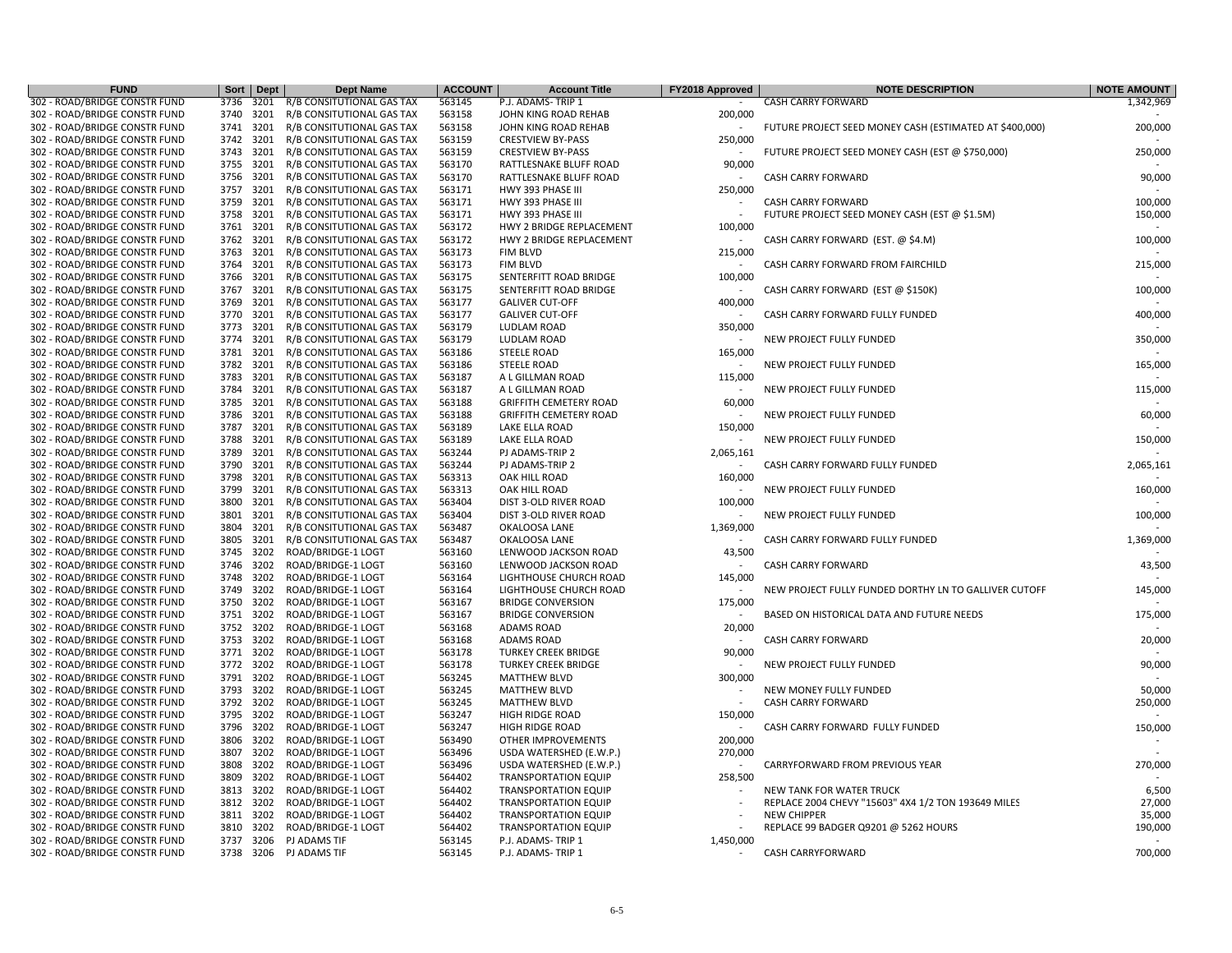| <b>FUND</b>                                                    | Sort         | Dept         | <b>Dept Name</b>                         | <b>ACCOUNT</b>   | <b>Account Title</b>                          | FY2018 Approved | <b>NOTE DESCRIPTION</b>                                 | <b>NOTE AMOUNT</b> |
|----------------------------------------------------------------|--------------|--------------|------------------------------------------|------------------|-----------------------------------------------|-----------------|---------------------------------------------------------|--------------------|
| 302 - ROAD/BRIDGE CONSTR FUND                                  | 3736         | 3201         | R/B CONSITUTIONAL GAS TAX                | 563145           | P.J. ADAMS-TRIP 1                             |                 | <b>CASH CARRY FORWARD</b>                               | 1,342,969          |
| 302 - ROAD/BRIDGE CONSTR FUND                                  | 3740 3201    |              | R/B CONSITUTIONAL GAS TAX                | 563158           | JOHN KING ROAD REHAB                          | 200,000         |                                                         |                    |
| 302 - ROAD/BRIDGE CONSTR FUND                                  | 3741         | 3201         | R/B CONSITUTIONAL GAS TAX                | 563158           | JOHN KING ROAD REHAB                          |                 | FUTURE PROJECT SEED MONEY CASH (ESTIMATED AT \$400,000) | 200,000            |
| 302 - ROAD/BRIDGE CONSTR FUND                                  | 3742         | 3201         | R/B CONSITUTIONAL GAS TAX                | 563159           | <b>CRESTVIEW BY-PASS</b>                      | 250,000         |                                                         |                    |
| 302 - ROAD/BRIDGE CONSTR FUND                                  | 3743         | 3201         | R/B CONSITUTIONAL GAS TAX                | 563159           | <b>CRESTVIEW BY-PASS</b>                      |                 | FUTURE PROJECT SEED MONEY CASH (EST @ \$750,000)        | 250,000            |
| 302 - ROAD/BRIDGE CONSTR FUND                                  | 3755         | 3201         | R/B CONSITUTIONAL GAS TAX                | 563170           | RATTLESNAKE BLUFF ROAD                        | 90,000          |                                                         |                    |
| 302 - ROAD/BRIDGE CONSTR FUND                                  | 3756         | 3201         | R/B CONSITUTIONAL GAS TAX                | 563170           | RATTLESNAKE BLUFF ROAD                        |                 | <b>CASH CARRY FORWARD</b>                               | 90,000             |
| 302 - ROAD/BRIDGE CONSTR FUND                                  | 3757         | 3201         | R/B CONSITUTIONAL GAS TAX                | 563171           | HWY 393 PHASE III                             | 250,000         |                                                         |                    |
| 302 - ROAD/BRIDGE CONSTR FUND                                  | 3759         | 3201         | R/B CONSITUTIONAL GAS TAX                | 563171           | HWY 393 PHASE II                              |                 | <b>CASH CARRY FORWARD</b>                               | 100,000            |
| 302 - ROAD/BRIDGE CONSTR FUND                                  | 3758         | 3201         | R/B CONSITUTIONAL GAS TAX                | 563171           | HWY 393 PHASE III                             |                 | FUTURE PROJECT SEED MONEY CASH (EST @ \$1.5M)           | 150,000            |
| 302 - ROAD/BRIDGE CONSTR FUND                                  | 3761         | 3201         | R/B CONSITUTIONAL GAS TAX                | 563172           | HWY 2 BRIDGE REPLACEMENT                      | 100,000         |                                                         |                    |
| 302 - ROAD/BRIDGE CONSTR FUND                                  | 3762 3201    |              | R/B CONSITUTIONAL GAS TAX                | 563172           | HWY 2 BRIDGE REPLACEMENT                      |                 | CASH CARRY FORWARD (EST. @ \$4.M)                       | 100,000            |
| 302 - ROAD/BRIDGE CONSTR FUND                                  | 3763         | 3201         | R/B CONSITUTIONAL GAS TAX                | 563173           | <b>FIM BLVD</b>                               | 215,000         |                                                         |                    |
| 302 - ROAD/BRIDGE CONSTR FUND                                  | 3764         | 3201         | R/B CONSITUTIONAL GAS TAX                | 563173           | FIM BLVD                                      |                 | CASH CARRY FORWARD FROM FAIRCHILD                       | 215,000            |
| 302 - ROAD/BRIDGE CONSTR FUND                                  | 3766         | 3201         | R/B CONSITUTIONAL GAS TAX                | 563175           | SENTERFITT ROAD BRIDGE                        | 100,000         |                                                         |                    |
| 302 - ROAD/BRIDGE CONSTR FUND                                  | 3767         | 3201         | R/B CONSITUTIONAL GAS TAX                | 563175           | SENTERFITT ROAD BRIDGE                        |                 | CASH CARRY FORWARD (EST @ \$150K)                       | 100,000            |
| 302 - ROAD/BRIDGE CONSTR FUND                                  | 3769         | 3201         | R/B CONSITUTIONAL GAS TAX                | 563177           | <b>GALIVER CUT-OFF</b>                        | 400,000         |                                                         |                    |
| 302 - ROAD/BRIDGE CONSTR FUND                                  | 3770         | 3201         | R/B CONSITUTIONAL GAS TAX                | 563177           | <b>GALIVER CUT-OFF</b>                        |                 | CASH CARRY FORWARD FULLY FUNDED                         | 400,000            |
| 302 - ROAD/BRIDGE CONSTR FUND                                  | 3773         | 3201         | R/B CONSITUTIONAL GAS TAX                | 563179           | LUDLAM ROAD                                   | 350,000         |                                                         |                    |
| 302 - ROAD/BRIDGE CONSTR FUND                                  | 3774         | 3201         | R/B CONSITUTIONAL GAS TAX                | 563179           | LUDLAM ROAD                                   |                 | NEW PROJECT FULLY FUNDED                                | 350,000            |
| 302 - ROAD/BRIDGE CONSTR FUND                                  | 3781         | 3201         | R/B CONSITUTIONAL GAS TAX                | 563186           | <b>STEELE ROAD</b>                            | 165,000         |                                                         |                    |
| 302 - ROAD/BRIDGE CONSTR FUND                                  | 3782         | 3201         | R/B CONSITUTIONAL GAS TAX                | 563186           | <b>STEELE ROAD</b>                            |                 | NEW PROJECT FULLY FUNDED                                | 165,000            |
| 302 - ROAD/BRIDGE CONSTR FUND                                  | 3783         | 3201         | R/B CONSITUTIONAL GAS TAX                | 563187           | A L GILLMAN ROAD                              | 115,000         |                                                         |                    |
| 302 - ROAD/BRIDGE CONSTR FUND                                  | 3784         | 3201         | R/B CONSITUTIONAL GAS TAX                | 563187           | A L GILLMAN ROAD                              |                 | NEW PROJECT FULLY FUNDED                                | 115,000            |
| 302 - ROAD/BRIDGE CONSTR FUND                                  | 3785         | 3201         | R/B CONSITUTIONAL GAS TAX                | 563188           | <b>GRIFFITH CEMETERY ROAD</b>                 | 60,000          |                                                         |                    |
| 302 - ROAD/BRIDGE CONSTR FUND                                  | 3786         | 3201         | R/B CONSITUTIONAL GAS TAX                | 563188           | <b>GRIFFITH CEMETERY ROAD</b>                 |                 | NEW PROJECT FULLY FUNDED                                | 60,000             |
| 302 - ROAD/BRIDGE CONSTR FUND                                  | 3787         | 3201         | R/B CONSITUTIONAL GAS TAX                | 563189           | LAKE ELLA ROAD                                | 150,000         |                                                         |                    |
| 302 - ROAD/BRIDGE CONSTR FUND                                  | 3788         | 3201         | R/B CONSITUTIONAL GAS TAX                | 563189           | LAKE ELLA ROAD                                |                 | NEW PROJECT FULLY FUNDED                                | 150,000            |
| 302 - ROAD/BRIDGE CONSTR FUND                                  | 3789         | 3201         | R/B CONSITUTIONAL GAS TAX                | 563244           | PJ ADAMS-TRIP 2                               | 2,065,161       |                                                         |                    |
| 302 - ROAD/BRIDGE CONSTR FUND                                  | 3790         | 3201         | R/B CONSITUTIONAL GAS TAX                | 563244           | PJ ADAMS-TRIP 2                               |                 | CASH CARRY FORWARD FULLY FUNDED                         | 2,065,161          |
| 302 - ROAD/BRIDGE CONSTR FUND                                  | 3798         | 3201         | R/B CONSITUTIONAL GAS TAX                | 563313           | OAK HILL ROAD                                 | 160,000         |                                                         |                    |
| 302 - ROAD/BRIDGE CONSTR FUND                                  | 3799         | 3201         | R/B CONSITUTIONAL GAS TAX                | 563313           | OAK HILL ROAD                                 |                 | NEW PROJECT FULLY FUNDED                                | 160,000            |
| 302 - ROAD/BRIDGE CONSTR FUND                                  | 3800         | 3201         | R/B CONSITUTIONAL GAS TAX                | 563404           | DIST 3-OLD RIVER ROAD                         | 100,000         |                                                         |                    |
| 302 - ROAD/BRIDGE CONSTR FUND                                  | 3801         | 3201         | R/B CONSITUTIONAL GAS TAX                | 563404           | DIST 3-OLD RIVER ROAD                         |                 | NEW PROJECT FULLY FUNDED                                | 100,000            |
| 302 - ROAD/BRIDGE CONSTR FUND                                  | 3804         | 3201         | R/B CONSITUTIONAL GAS TAX                | 563487           | OKALOOSA LANE                                 | 1,369,000       |                                                         |                    |
| 302 - ROAD/BRIDGE CONSTR FUND                                  | 3805         | 3201         | R/B CONSITUTIONAL GAS TAX                | 563487           | <b>OKALOOSA LANE</b>                          |                 | CASH CARRY FORWARD FULLY FUNDED                         | 1,369,000          |
| 302 - ROAD/BRIDGE CONSTR FUND                                  | 3745         | 3202         | ROAD/BRIDGE-1 LOGT                       | 563160           | LENWOOD JACKSON ROAD                          | 43,500          |                                                         |                    |
| 302 - ROAD/BRIDGE CONSTR FUND                                  | 3746         | 3202         | ROAD/BRIDGE-1 LOGT                       | 563160           | LENWOOD JACKSON ROAD                          |                 | <b>CASH CARRY FORWARD</b>                               | 43,500             |
| 302 - ROAD/BRIDGE CONSTR FUND                                  | 3748         | 3202         | ROAD/BRIDGE-1 LOGT                       | 563164           | LIGHTHOUSE CHURCH ROAD                        | 145,000         |                                                         |                    |
| 302 - ROAD/BRIDGE CONSTR FUND                                  | 3749         | 3202         | ROAD/BRIDGE-1 LOGT                       | 563164           | LIGHTHOUSE CHURCH ROAD                        |                 | NEW PROJECT FULLY FUNDED DORTHY LN TO GALLIVER CUTOFF   | 145,000            |
| 302 - ROAD/BRIDGE CONSTR FUND<br>302 - ROAD/BRIDGE CONSTR FUND | 3750<br>3751 | 3202<br>3202 | ROAD/BRIDGE-1 LOGT<br>ROAD/BRIDGE-1 LOGT | 563167<br>563167 | <b>BRIDGE CONVERSION</b>                      | 175,000         |                                                         | 175,000            |
| 302 - ROAD/BRIDGE CONSTR FUND                                  | 3752         | 3202         | ROAD/BRIDGE-1 LOGT                       | 563168           | <b>BRIDGE CONVERSION</b><br><b>ADAMS ROAD</b> | 20,000          | BASED ON HISTORICAL DATA AND FUTURE NEEDS               |                    |
| 302 - ROAD/BRIDGE CONSTR FUND                                  | 3753         | 3202         | ROAD/BRIDGE-1 LOGT                       | 563168           | <b>ADAMS ROAD</b>                             |                 | <b>CASH CARRY FORWARD</b>                               | 20,000             |
| 302 - ROAD/BRIDGE CONSTR FUND                                  | 3771         | 3202         | ROAD/BRIDGE-1 LOGT                       | 563178           | <b>TURKEY CREEK BRIDGE</b>                    | 90,000          |                                                         |                    |
| 302 - ROAD/BRIDGE CONSTR FUND                                  | 3772         | 3202         | ROAD/BRIDGE-1 LOGT                       | 563178           | <b>TURKEY CREEK BRIDGE</b>                    |                 | NEW PROJECT FULLY FUNDED                                | 90,000             |
| 302 - ROAD/BRIDGE CONSTR FUND                                  | 3791         | 3202         | ROAD/BRIDGE-1 LOGT                       | 563245           | <b>MATTHEW BLVD</b>                           | 300,000         |                                                         |                    |
| 302 - ROAD/BRIDGE CONSTR FUND                                  | 3793         | 3202         | ROAD/BRIDGE-1 LOGT                       | 563245           | <b>MATTHEW BLVD</b>                           |                 | NEW MONEY FULLY FUNDED                                  | 50,000             |
| 302 - ROAD/BRIDGE CONSTR FUND                                  | 3792         | 3202         | ROAD/BRIDGE-1 LOGT                       | 563245           | <b>MATTHEW BLVD</b>                           |                 | <b>CASH CARRY FORWARD</b>                               | 250,000            |
| 302 - ROAD/BRIDGE CONSTR FUND                                  | 3795         | 3202         | ROAD/BRIDGE-1 LOGT                       | 563247           | <b>HIGH RIDGE ROAD</b>                        | 150,000         |                                                         |                    |
| 302 - ROAD/BRIDGE CONSTR FUND                                  | 3796 3202    |              | ROAD/BRIDGE-1 LOGT                       | 563247           | <b>HIGH RIDGE ROAD</b>                        |                 | CASH CARRY FORWARD FULLY FUNDED                         | 150,000            |
| 302 - ROAD/BRIDGE CONSTR FUND                                  | 3806         | 3202         | ROAD/BRIDGE-1 LOGT                       | 563490           | OTHER IMPROVEMENTS                            | 200,000         |                                                         |                    |
| 302 - ROAD/BRIDGE CONSTR FUND                                  | 3807         | 3202         | ROAD/BRIDGE-1 LOGT                       | 563496           | USDA WATERSHED (E.W.P.)                       | 270,000         |                                                         |                    |
| 302 - ROAD/BRIDGE CONSTR FUND                                  | 3808         | 3202         | ROAD/BRIDGE-1 LOGT                       | 563496           | USDA WATERSHED (E.W.P.)                       |                 | CARRYFORWARD FROM PREVIOUS YEAR                         | 270,000            |
| 302 - ROAD/BRIDGE CONSTR FUND                                  | 3809         | 3202         | ROAD/BRIDGE-1 LOGT                       | 564402           | <b>TRANSPORTATION EQUIP</b>                   | 258,500         |                                                         |                    |
| 302 - ROAD/BRIDGE CONSTR FUND                                  | 3813         | 3202         | ROAD/BRIDGE-1 LOGT                       | 564402           | <b>TRANSPORTATION EQUIP</b>                   |                 | NEW TANK FOR WATER TRUCK                                | 6,500              |
| 302 - ROAD/BRIDGE CONSTR FUND                                  | 3812         | 3202         | ROAD/BRIDGE-1 LOGT                       | 564402           | <b>TRANSPORTATION EQUIP</b>                   |                 | REPLACE 2004 CHEVY "15603" 4X4 1/2 TON 193649 MILES     | 27,000             |
| 302 - ROAD/BRIDGE CONSTR FUND                                  | 3811         | 3202         | ROAD/BRIDGE-1 LOGT                       | 564402           | <b>TRANSPORTATION EQUIP</b>                   |                 | <b>NEW CHIPPER</b>                                      | 35,000             |
| 302 - ROAD/BRIDGE CONSTR FUND                                  | 3810         | 3202         | ROAD/BRIDGE-1 LOGT                       | 564402           | <b>TRANSPORTATION EQUIP</b>                   |                 | REPLACE 99 BADGER Q9201 @ 5262 HOURS                    | 190,000            |
| 302 - ROAD/BRIDGE CONSTR FUND                                  | 3737 3206    |              | PJ ADAMS TIF                             | 563145           | P.J. ADAMS-TRIP 1                             | 1,450,000       |                                                         |                    |
| 302 - ROAD/BRIDGE CONSTR FUND                                  |              |              | 3738 3206 PJ ADAMS TIF                   | 563145           | P.J. ADAMS-TRIP 1                             |                 | CASH CARRYFORWARD                                       | 700,000            |
|                                                                |              |              |                                          |                  |                                               |                 |                                                         |                    |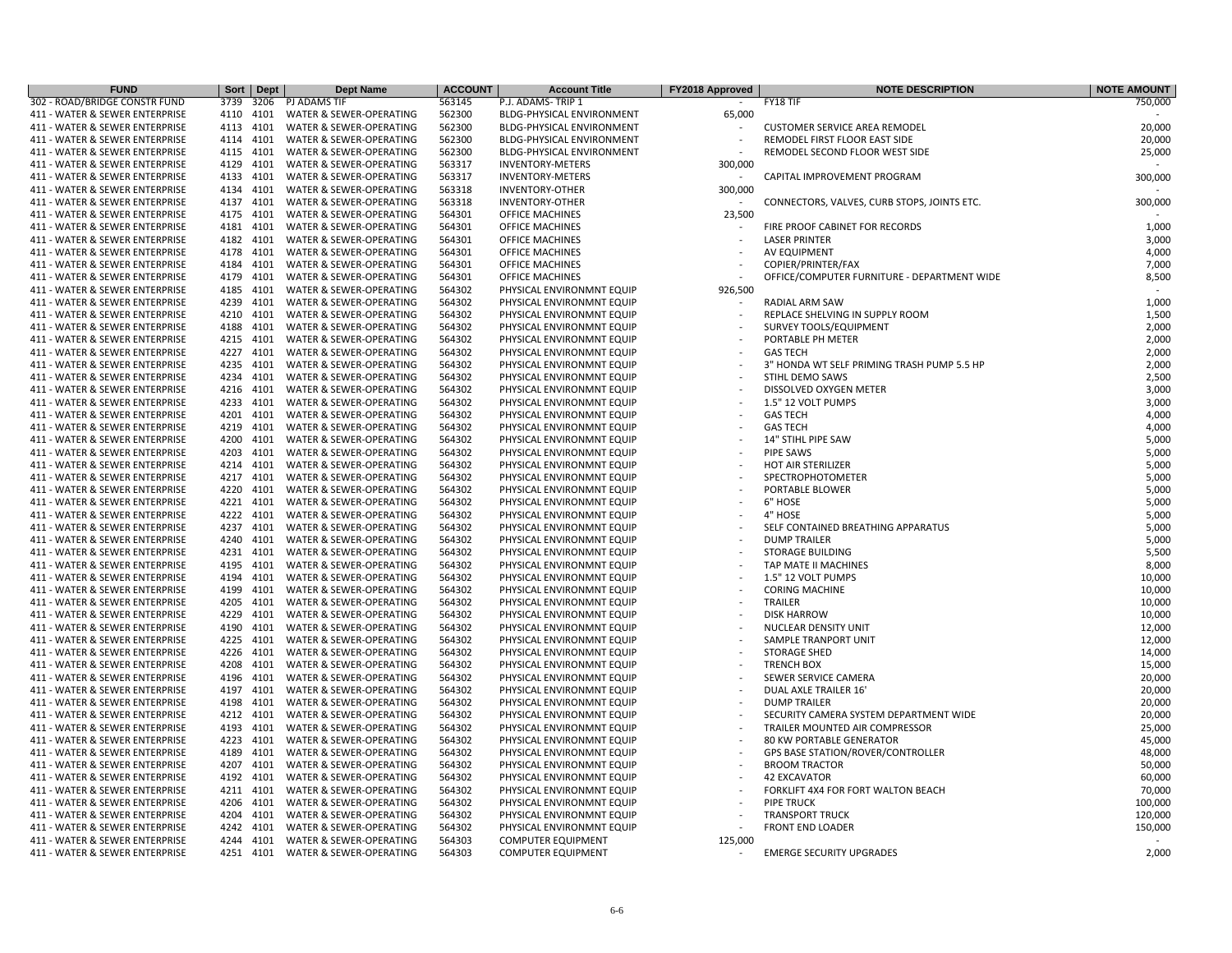| <b>FUND</b>                    |           | Sort Dept | <b>Dept Name</b>        | <b>ACCOUNT</b> | <b>Account Title</b>             | FY2018 Approved          | <b>NOTE DESCRIPTION</b>                     | <b>NOTE AMOUNT</b> |
|--------------------------------|-----------|-----------|-------------------------|----------------|----------------------------------|--------------------------|---------------------------------------------|--------------------|
| 302 - ROAD/BRIDGE CONSTR FUND  | 3739      | 3206      | PJ ADAMS TIF            | 563145         | P.J. ADAMS-TRIP 1                |                          | FY18 TIF                                    | 750,000            |
| 411 - WATER & SEWER ENTERPRISE | 4110      | 4101      | WATER & SEWER-OPERATING | 562300         | <b>BLDG-PHYSICAL ENVIRONMENT</b> | 65,000                   |                                             |                    |
| 411 - WATER & SEWER ENTERPRISE | 4113      | 4101      | WATER & SEWER-OPERATING | 562300         | <b>BLDG-PHYSICAL ENVIRONMENT</b> |                          | <b>CUSTOMER SERVICE AREA REMODEL</b>        | 20,000             |
| 411 - WATER & SEWER ENTERPRISE | 4114 4101 |           | WATER & SEWER-OPERATING | 562300         | BLDG-PHYSICAL ENVIRONMENT        |                          | REMODEL FIRST FLOOR EAST SIDE               | 20,000             |
| 411 - WATER & SEWER ENTERPRISE | 4115      | 4101      | WATER & SEWER-OPERATING | 562300         | <b>BLDG-PHYSICAL ENVIRONMENT</b> |                          | REMODEL SECOND FLOOR WEST SIDE              | 25,000             |
| 411 - WATER & SEWER ENTERPRISE | 4129      | 4101      | WATER & SEWER-OPERATING | 563317         | <b>INVENTORY-METERS</b>          | 300,000                  |                                             |                    |
| 411 - WATER & SEWER ENTERPRISE | 4133      | 4101      | WATER & SEWER-OPERATING | 563317         | <b>INVENTORY-METERS</b>          |                          | CAPITAL IMPROVEMENT PROGRAM                 | 300,000            |
| 411 - WATER & SEWER ENTERPRISE | 4134      | 4101      | WATER & SEWER-OPERATING | 563318         | <b>INVENTORY-OTHER</b>           | 300,000                  |                                             |                    |
| 411 - WATER & SEWER ENTERPRISE | 4137      | 4101      | WATER & SEWER-OPERATING | 563318         | <b>INVENTORY-OTHER</b>           |                          | CONNECTORS, VALVES, CURB STOPS, JOINTS ETC. | 300,000            |
| 411 - WATER & SEWER ENTERPRISE | 4175      | 4101      | WATER & SEWER-OPERATING | 564301         | OFFICE MACHINES                  | 23,500                   |                                             |                    |
| 411 - WATER & SEWER ENTERPRISE | 4181      | 4101      | WATER & SEWER-OPERATING | 564301         | <b>OFFICE MACHINES</b>           |                          | FIRE PROOF CABINET FOR RECORDS              | 1,000              |
| 411 - WATER & SEWER ENTERPRISE | 4182      | 4101      | WATER & SEWER-OPERATING | 564301         | OFFICE MACHINES                  |                          | <b>LASER PRINTER</b>                        | 3,000              |
| 411 - WATER & SEWER ENTERPRISE | 4178      | 4101      | WATER & SEWER-OPERATING | 564301         | <b>OFFICE MACHINES</b>           |                          | AV EQUIPMENT                                | 4,000              |
| 411 - WATER & SEWER ENTERPRISE | 4184      | 4101      | WATER & SEWER-OPERATING | 564301         | <b>OFFICE MACHINES</b>           |                          | COPIER/PRINTER/FAX                          | 7,000              |
| 411 - WATER & SEWER ENTERPRISE | 4179      | 4101      | WATER & SEWER-OPERATING | 564301         | <b>OFFICE MACHINES</b>           |                          | OFFICE/COMPUTER FURNITURE - DEPARTMENT WIDE | 8,500              |
| 411 - WATER & SEWER ENTERPRISE | 4185      | 4101      | WATER & SEWER-OPERATING | 564302         | PHYSICAL ENVIRONMNT EQUIP        | 926,500                  |                                             |                    |
| 411 - WATER & SEWER ENTERPRISE | 4239      | 4101      | WATER & SEWER-OPERATING | 564302         | PHYSICAL ENVIRONMNT EQUIP        |                          | RADIAL ARM SAW                              | 1,000              |
| 411 - WATER & SEWER ENTERPRISE | 4210 4101 |           | WATER & SEWER-OPERATING | 564302         | PHYSICAL ENVIRONMNT EQUIP        |                          | REPLACE SHELVING IN SUPPLY ROOM             | 1,500              |
|                                |           |           |                         |                |                                  |                          |                                             | 2,000              |
| 411 - WATER & SEWER ENTERPRISE | 4188      | 4101      | WATER & SEWER-OPERATING | 564302         | PHYSICAL ENVIRONMNT EQUIP        |                          | SURVEY TOOLS/EQUIPMENT                      |                    |
| 411 - WATER & SEWER ENTERPRISE | 4215      | 4101      | WATER & SEWER-OPERATING | 564302         | PHYSICAL ENVIRONMNT EQUIP        |                          | PORTABLE PH METER                           | 2,000              |
| 411 - WATER & SEWER ENTERPRISE | 4227      | 4101      | WATER & SEWER-OPERATING | 564302         | PHYSICAL ENVIRONMNT EQUIP        |                          | <b>GAS TECH</b>                             | 2,000              |
| 411 - WATER & SEWER ENTERPRISE | 4235      | 4101      | WATER & SEWER-OPERATING | 564302         | PHYSICAL ENVIRONMNT EQUIP        |                          | 3" HONDA WT SELF PRIMING TRASH PUMP 5.5 HP  | 2,000              |
| 411 - WATER & SEWER ENTERPRISE | 4234 4101 |           | WATER & SEWER-OPERATING | 564302         | PHYSICAL ENVIRONMNT EQUIP        |                          | STIHL DEMO SAWS                             | 2,500              |
| 411 - WATER & SEWER ENTERPRISE | 4216      | 4101      | WATER & SEWER-OPERATING | 564302         | PHYSICAL ENVIRONMNT EQUIP        |                          | DISSOLVED OXYGEN METER                      | 3,000              |
| 411 - WATER & SEWER ENTERPRISE | 4233      | 4101      | WATER & SEWER-OPERATING | 564302         | PHYSICAL ENVIRONMNT EQUIP        |                          | 1.5" 12 VOLT PUMPS                          | 3,000              |
| 411 - WATER & SEWER ENTERPRISE | 4201      | 4101      | WATER & SEWER-OPERATING | 564302         | PHYSICAL ENVIRONMNT EQUIP        |                          | <b>GAS TECH</b>                             | 4,000              |
| 411 - WATER & SEWER ENTERPRISE | 4219      | 4101      | WATER & SEWER-OPERATING | 564302         | PHYSICAL ENVIRONMNT EQUIP        |                          | <b>GAS TECH</b>                             | 4,000              |
| 411 - WATER & SEWER ENTERPRISE | 4200      | 4101      | WATER & SEWER-OPERATING | 564302         | PHYSICAL ENVIRONMNT EQUIP        |                          | 14" STIHL PIPE SAW                          | 5,000              |
| 411 - WATER & SEWER ENTERPRISE | 4203      | 4101      | WATER & SEWER-OPERATING | 564302         | PHYSICAL ENVIRONMNT EQUIP        |                          | PIPE SAWS                                   | 5,000              |
| 411 - WATER & SEWER ENTERPRISE | 4214      | 4101      | WATER & SEWER-OPERATING | 564302         | PHYSICAL ENVIRONMNT EQUIP        |                          | <b>HOT AIR STERILIZER</b>                   | 5,000              |
| 411 - WATER & SEWER ENTERPRISE | 4217      | 4101      | WATER & SEWER-OPERATING | 564302         | PHYSICAL ENVIRONMNT EQUIP        |                          | SPECTROPHOTOMETER                           | 5,000              |
| 411 - WATER & SEWER ENTERPRISE | 4220      | 4101      | WATER & SEWER-OPERATING | 564302         | PHYSICAL ENVIRONMNT EQUIP        |                          | PORTABLE BLOWER                             | 5,000              |
| 411 - WATER & SEWER ENTERPRISE | 4221 4101 |           | WATER & SEWER-OPERATING | 564302         | PHYSICAL ENVIRONMNT EQUIP        |                          | 6" HOSE                                     | 5,000              |
| 411 - WATER & SEWER ENTERPRISE | 4222      | 4101      | WATER & SEWER-OPERATING | 564302         | PHYSICAL ENVIRONMNT EQUIP        |                          | 4" HOSE                                     | 5,000              |
| 411 - WATER & SEWER ENTERPRISE | 4237      | 4101      | WATER & SEWER-OPERATING | 564302         | PHYSICAL ENVIRONMNT EQUIP        |                          | SELF CONTAINED BREATHING APPARATUS          | 5,000              |
| 411 - WATER & SEWER ENTERPRISE | 4240      | 4101      | WATER & SEWER-OPERATING | 564302         | PHYSICAL ENVIRONMNT EQUIP        |                          | <b>DUMP TRAILER</b>                         | 5,000              |
| 411 - WATER & SEWER ENTERPRISE | 4231      | 4101      | WATER & SEWER-OPERATING | 564302         | PHYSICAL ENVIRONMNT EQUIP        |                          | <b>STORAGE BUILDING</b>                     | 5,500              |
| 411 - WATER & SEWER ENTERPRISE | 4195      | 4101      | WATER & SEWER-OPERATING | 564302         | PHYSICAL ENVIRONMNT EQUIP        |                          | TAP MATE II MACHINES                        | 8,000              |
| 411 - WATER & SEWER ENTERPRISE | 4194      | 4101      | WATER & SEWER-OPERATING | 564302         | PHYSICAL ENVIRONMNT EQUIP        |                          | 1.5" 12 VOLT PUMPS                          | 10,000             |
| 411 - WATER & SEWER ENTERPRISE | 4199      | 4101      | WATER & SEWER-OPERATING | 564302         | PHYSICAL ENVIRONMNT EQUIP        |                          | <b>CORING MACHINE</b>                       | 10,000             |
| 411 - WATER & SEWER ENTERPRISE | 4205      | 4101      | WATER & SEWER-OPERATING | 564302         | PHYSICAL ENVIRONMNT EQUIP        |                          | TRAILER                                     | 10,000             |
| 411 - WATER & SEWER ENTERPRISE | 4229      | 4101      | WATER & SEWER-OPERATING | 564302         | PHYSICAL ENVIRONMNT EQUIP        |                          | <b>DISK HARROW</b>                          | 10,000             |
| 411 - WATER & SEWER ENTERPRISE | 4190      | 4101      | WATER & SEWER-OPERATING | 564302         | PHYSICAL ENVIRONMNT EQUIP        |                          | NUCLEAR DENSITY UNIT                        | 12,000             |
| 411 - WATER & SEWER ENTERPRISE | 4225      | 4101      | WATER & SEWER-OPERATING | 564302         | PHYSICAL ENVIRONMNT EQUIP        |                          | SAMPLE TRANPORT UNIT                        | 12,000             |
| 411 - WATER & SEWER ENTERPRISE | 4226 4101 |           | WATER & SEWER-OPERATING | 564302         | PHYSICAL ENVIRONMNT EQUIP        |                          | <b>STORAGE SHED</b>                         | 14,000             |
| 411 - WATER & SEWER ENTERPRISE | 4208      | 4101      | WATER & SEWER-OPERATING | 564302         | PHYSICAL ENVIRONMNT EQUIP        |                          | <b>TRENCH BOX</b>                           | 15,000             |
| 411 - WATER & SEWER ENTERPRISE | 4196      | 4101      | WATER & SEWER-OPERATING | 564302         | PHYSICAL ENVIRONMNT EQUIP        |                          | SEWER SERVICE CAMERA                        | 20,000             |
| 411 - WATER & SEWER ENTERPRISE | 4197      | 4101      | WATER & SEWER-OPERATING | 564302         | PHYSICAL ENVIRONMNT EQUIP        |                          | DUAL AXLE TRAILER 16'                       | 20,000             |
| 411 - WATER & SEWER ENTERPRISE | 4198      | 4101      | WATER & SEWER-OPERATING | 564302         | PHYSICAL ENVIRONMNT EQUIP        |                          | <b>DUMP TRAILER</b>                         | 20,000             |
| 411 - WATER & SEWER ENTERPRISE | 4212      | 4101      | WATER & SEWER-OPERATING | 564302         | PHYSICAL ENVIRONMNT EQUIP        |                          | SECURITY CAMERA SYSTEM DEPARTMENT WIDE      | 20,000             |
| 411 - WATER & SEWER ENTERPRISE | 4193      | 4101      | WATER & SEWER-OPERATING | 564302         | PHYSICAL ENVIRONMNT EQUIP        |                          | TRAILER MOUNTED AIR COMPRESSOR              | 25,000             |
| 411 - WATER & SEWER ENTERPRISE | 4223 4101 |           | WATER & SEWER-OPERATING | 564302         | PHYSICAL ENVIRONMNT EQUIP        |                          | 80 KW PORTABLE GENERATOR                    | 45,000             |
| 411 - WATER & SEWER ENTERPRISE | 4189      | 4101      | WATER & SEWER-OPERATING | 564302         | PHYSICAL ENVIRONMNT EQUIP        |                          | <b>GPS BASE STATION/ROVER/CONTROLLER</b>    | 48,000             |
|                                |           | 4101      |                         | 564302         |                                  |                          | <b>BROOM TRACTOR</b>                        | 50,000             |
| 411 - WATER & SEWER ENTERPRISE | 4207      | 4101      | WATER & SEWER-OPERATING |                | PHYSICAL ENVIRONMNT EQUIP        |                          |                                             | 60,000             |
| 411 - WATER & SEWER ENTERPRISE | 4192      |           | WATER & SEWER-OPERATING | 564302         | PHYSICAL ENVIRONMNT EQUIP        |                          | 42 EXCAVATOR                                |                    |
| 411 - WATER & SEWER ENTERPRISE | 4211      | 4101      | WATER & SEWER-OPERATING | 564302         | PHYSICAL ENVIRONMNT EQUIP        |                          | FORKLIFT 4X4 FOR FORT WALTON BEACH          | 70,000             |
| 411 - WATER & SEWER ENTERPRISE | 4206 4101 |           | WATER & SEWER-OPERATING | 564302         | PHYSICAL ENVIRONMNT EQUIP        |                          | <b>PIPE TRUCK</b>                           | 100,000            |
| 411 - WATER & SEWER ENTERPRISE | 4204      | 4101      | WATER & SEWER-OPERATING | 564302         | PHYSICAL ENVIRONMNT EQUIP        |                          | <b>TRANSPORT TRUCK</b>                      | 120,000            |
| 411 - WATER & SEWER ENTERPRISE | 4242      | 4101      | WATER & SEWER-OPERATING | 564302         | PHYSICAL ENVIRONMNT EQUIP        |                          | FRONT END LOADER                            | 150,000            |
| 411 - WATER & SEWER ENTERPRISE | 4244      | 4101      | WATER & SEWER-OPERATING | 564303         | <b>COMPUTER EQUIPMENT</b>        | 125,000                  |                                             |                    |
| 411 - WATER & SEWER ENTERPRISE |           | 4251 4101 | WATER & SEWER-OPERATING | 564303         | <b>COMPUTER EQUIPMENT</b>        | $\overline{\phantom{a}}$ | <b>EMERGE SECURITY UPGRADES</b>             | 2,000              |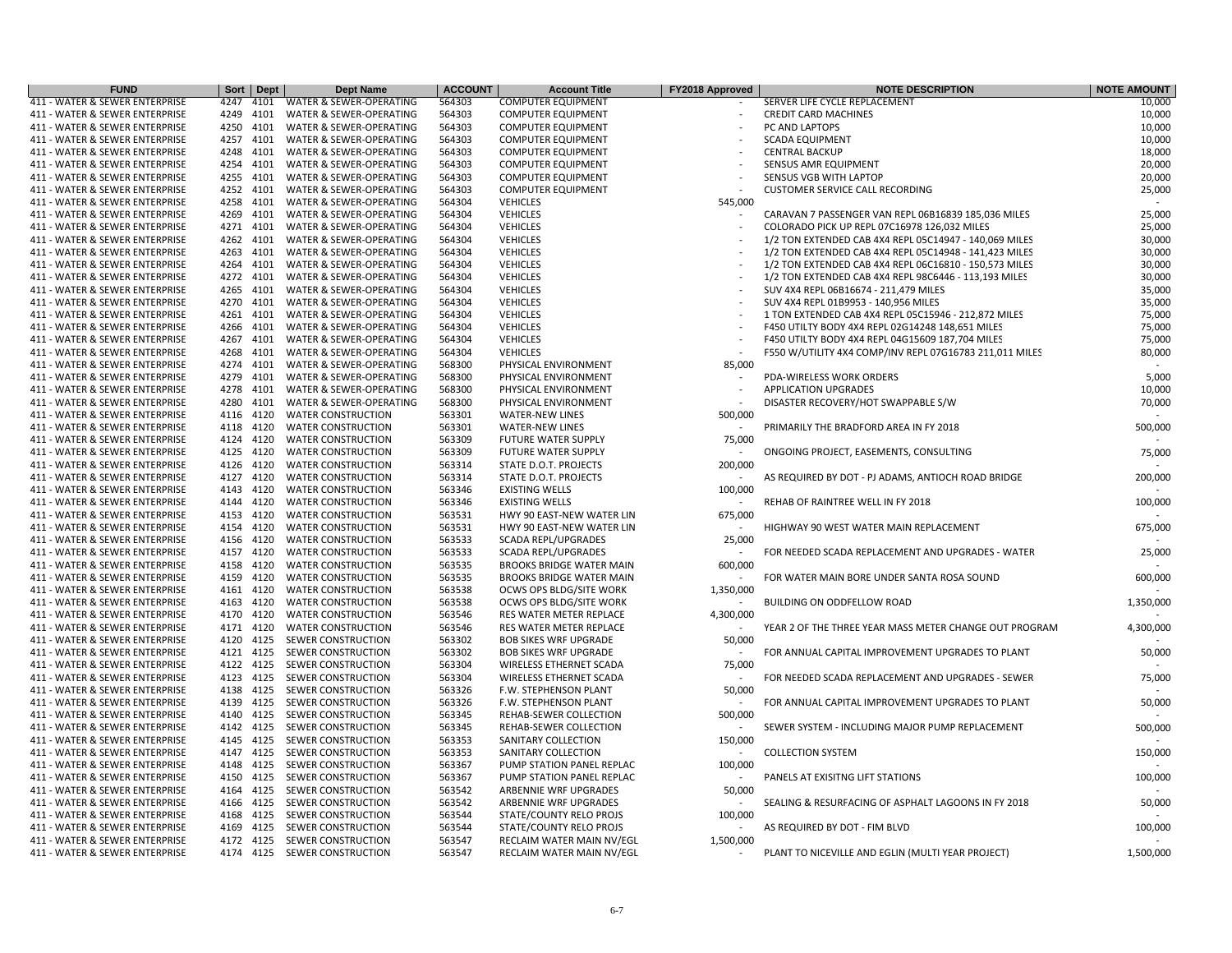| <b>FUND</b>                    | Sort  <br><b>Dept</b> | <b>Dept Name</b>          | <b>ACCOUNT</b> | <b>Account Title</b>            | FY2018 Approved          | <b>NOTE DESCRIPTION</b>                                 | <b>NOTE AMOUNT</b> |
|--------------------------------|-----------------------|---------------------------|----------------|---------------------------------|--------------------------|---------------------------------------------------------|--------------------|
| 411 - WATER & SEWER ENTERPRISE | 4247<br>4101          | WATER & SEWER-OPERATING   | 564303         | <b>COMPUTER EQUIPMENT</b>       |                          | SERVER LIFE CYCLE REPLACEMENT                           | 10,000             |
| 411 - WATER & SEWER ENTERPRISE | 4249<br>4101          | WATER & SEWER-OPERATING   | 564303         | <b>COMPUTER EQUIPMENT</b>       |                          | <b>CREDIT CARD MACHINES</b>                             | 10,000             |
| 411 - WATER & SEWER ENTERPRISE | 4101<br>4250          | WATER & SEWER-OPERATING   | 564303         | <b>COMPUTER EQUIPMENT</b>       |                          | PC AND LAPTOPS                                          | 10,000             |
| 411 - WATER & SEWER ENTERPRISE | 4257 4101             | WATER & SEWER-OPERATING   | 564303         | <b>COMPUTER EQUIPMENT</b>       |                          | <b>SCADA EQUIPMENT</b>                                  | 10,000             |
| 411 - WATER & SEWER ENTERPRISE | 4248<br>4101          | WATER & SEWER-OPERATING   | 564303         | <b>COMPUTER EQUIPMENT</b>       |                          | <b>CENTRAL BACKUP</b>                                   | 18,000             |
| 411 - WATER & SEWER ENTERPRISE | 4254<br>4101          | WATER & SEWER-OPERATING   | 564303         | <b>COMPUTER EQUIPMENT</b>       |                          | SENSUS AMR EQUIPMENT                                    | 20,000             |
| 411 - WATER & SEWER ENTERPRISE | 4255<br>4101          | WATER & SEWER-OPERATING   | 564303         | <b>COMPUTER EQUIPMENT</b>       |                          | SENSUS VGB WITH LAPTOP                                  | 20,000             |
| 411 - WATER & SEWER ENTERPRISE | 4252 4101             | WATER & SEWER-OPERATING   | 564303         | <b>COMPUTER EQUIPMENT</b>       |                          | <b>CUSTOMER SERVICE CALL RECORDING</b>                  | 25,000             |
| 411 - WATER & SEWER ENTERPRISE | 4258<br>4101          | WATER & SEWER-OPERATING   | 564304         | <b>VEHICLES</b>                 | 545,000                  |                                                         |                    |
| 411 - WATER & SEWER ENTERPRISE | 4269<br>4101          | WATER & SEWER-OPERATING   | 564304         | <b>VEHICLES</b>                 |                          | CARAVAN 7 PASSENGER VAN REPL 06B16839 185,036 MILES     | 25,000             |
| 411 - WATER & SEWER ENTERPRISE | 4271<br>4101          | WATER & SEWER-OPERATING   | 564304         | <b>VEHICLES</b>                 |                          | COLORADO PICK UP REPL 07C16978 126,032 MILES            | 25,000             |
| 411 - WATER & SEWER ENTERPRISE | 4262<br>4101          | WATER & SEWER-OPERATING   | 564304         | <b>VEHICLES</b>                 |                          | 1/2 TON EXTENDED CAB 4X4 REPL 05C14947 - 140,069 MILES  | 30,000             |
| 411 - WATER & SEWER ENTERPRISE | 4263<br>4101          | WATER & SEWER-OPERATING   | 564304         | <b>VEHICLES</b>                 |                          | 1/2 TON EXTENDED CAB 4X4 REPL 05C14948 - 141,423 MILES  | 30,000             |
| 411 - WATER & SEWER ENTERPRISE | 4264<br>4101          | WATER & SEWER-OPERATING   | 564304         | <b>VEHICLES</b>                 |                          | 1/2 TON EXTENDED CAB 4X4 REPL 06C16810 - 150,573 MILES  | 30,000             |
| 411 - WATER & SEWER ENTERPRISE | 4272<br>4101          | WATER & SEWER-OPERATING   | 564304         | <b>VEHICLES</b>                 |                          | 1/2 TON EXTENDED CAB 4X4 REPL 98C6446 - 113,193 MILES   | 30,000             |
| 411 - WATER & SEWER ENTERPRISE | 4265<br>4101          | WATER & SEWER-OPERATING   | 564304         | <b>VEHICLES</b>                 |                          | SUV 4X4 REPL 06B16674 - 211,479 MILES                   | 35,000             |
| 411 - WATER & SEWER ENTERPRISE | 4270<br>4101          | WATER & SEWER-OPERATING   | 564304         | <b>VEHICLES</b>                 |                          | SUV 4X4 REPL 01B9953 - 140,956 MILES                    | 35,000             |
| 411 - WATER & SEWER ENTERPRISE | 4261<br>4101          | WATER & SEWER-OPERATING   | 564304         | <b>VEHICLES</b>                 |                          | 1 TON EXTENDED CAB 4X4 REPL 05C15946 - 212,872 MILES    | 75,000             |
| 411 - WATER & SEWER ENTERPRISE | 4266<br>4101          | WATER & SEWER-OPERATING   | 564304         | <b>VEHICLES</b>                 |                          | F450 UTILTY BODY 4X4 REPL 02G14248 148,651 MILES        | 75,000             |
| 411 - WATER & SEWER ENTERPRISE | 4267<br>4101          | WATER & SEWER-OPERATING   | 564304         | <b>VEHICLES</b>                 |                          | F450 UTILTY BODY 4X4 REPL 04G15609 187,704 MILES        | 75,000             |
| 411 - WATER & SEWER ENTERPRISE | 4268<br>4101          | WATER & SEWER-OPERATING   | 564304         | <b>VEHICLES</b>                 |                          | F550 W/UTILITY 4X4 COMP/INV REPL 07G16783 211,011 MILES | 80,000             |
| 411 - WATER & SEWER ENTERPRISE | 4274<br>4101          | WATER & SEWER-OPERATING   | 568300         | PHYSICAL ENVIRONMENT            | 85,000                   |                                                         |                    |
| 411 - WATER & SEWER ENTERPRISE | 4279<br>4101          | WATER & SEWER-OPERATING   | 568300         | PHYSICAL ENVIRONMENT            |                          | PDA-WIRELESS WORK ORDERS                                | 5,000              |
| 411 - WATER & SEWER ENTERPRISE | 4278<br>4101          | WATER & SEWER-OPERATING   | 568300         | PHYSICAL ENVIRONMENT            | $\overline{\phantom{a}}$ | <b>APPLICATION UPGRADES</b>                             | 10,000             |
| 411 - WATER & SEWER ENTERPRISE | 4280<br>4101          | WATER & SEWER-OPERATING   | 568300         | PHYSICAL ENVIRONMENT            |                          | DISASTER RECOVERY/HOT SWAPPABLE S/W                     | 70,000             |
| 411 - WATER & SEWER ENTERPRISE | 4116<br>4120          | <b>WATER CONSTRUCTION</b> | 563301         | <b>WATER-NEW LINES</b>          | 500,000                  |                                                         |                    |
| 411 - WATER & SEWER ENTERPRISE | 4118<br>4120          | <b>WATER CONSTRUCTION</b> | 563301         | <b>WATER-NEW LINES</b>          |                          | PRIMARILY THE BRADFORD AREA IN FY 2018                  | 500,000            |
| 411 - WATER & SEWER ENTERPRISE | 4124<br>4120          | <b>WATER CONSTRUCTION</b> | 563309         | <b>FUTURE WATER SUPPLY</b>      | 75,000                   |                                                         |                    |
| 411 - WATER & SEWER ENTERPRISE | 4125<br>4120          | <b>WATER CONSTRUCTION</b> | 563309         | <b>FUTURE WATER SUPPLY</b>      |                          | ONGOING PROJECT, EASEMENTS, CONSULTING                  | 75,000             |
| 411 - WATER & SEWER ENTERPRISE | 4120<br>4126          | <b>WATER CONSTRUCTION</b> | 563314         | STATE D.O.T. PROJECTS           | 200,000                  |                                                         |                    |
| 411 - WATER & SEWER ENTERPRISE | 4127<br>4120          | <b>WATER CONSTRUCTION</b> | 563314         | STATE D.O.T. PROJECTS           |                          | AS REQUIRED BY DOT - PJ ADAMS, ANTIOCH ROAD BRIDGE      | 200,000            |
| 411 - WATER & SEWER ENTERPRISE | 4143 4120             | <b>WATER CONSTRUCTION</b> | 563346         | <b>EXISTING WELLS</b>           | 100,000                  |                                                         |                    |
| 411 - WATER & SEWER ENTERPRISE | 4144<br>4120          | <b>WATER CONSTRUCTION</b> | 563346         | <b>EXISTING WELLS</b>           |                          | REHAB OF RAINTREE WELL IN FY 2018                       | 100,000            |
| 411 - WATER & SEWER ENTERPRISE | 4153<br>4120          | <b>WATER CONSTRUCTION</b> | 563531         | HWY 90 EAST-NEW WATER LIN       | 675,000                  |                                                         |                    |
| 411 - WATER & SEWER ENTERPRISE | 4120<br>4154          | <b>WATER CONSTRUCTION</b> | 563531         | HWY 90 EAST-NEW WATER LIN       |                          | HIGHWAY 90 WEST WATER MAIN REPLACEMENT                  | 675,000            |
| 411 - WATER & SEWER ENTERPRISE | 4120<br>4156          | <b>WATER CONSTRUCTION</b> | 563533         | <b>SCADA REPL/UPGRADES</b>      | 25,000                   |                                                         |                    |
| 411 - WATER & SEWER ENTERPRISE | 4157 4120             | <b>WATER CONSTRUCTION</b> | 563533         | <b>SCADA REPL/UPGRADES</b>      |                          | FOR NEEDED SCADA REPLACEMENT AND UPGRADES - WATER       | 25,000             |
| 411 - WATER & SEWER ENTERPRISE | 4158<br>4120          | <b>WATER CONSTRUCTION</b> | 563535         | <b>BROOKS BRIDGE WATER MAIN</b> | 600,000                  |                                                         |                    |
| 411 - WATER & SEWER ENTERPRISE | 4159<br>4120          | <b>WATER CONSTRUCTION</b> | 563535         | <b>BROOKS BRIDGE WATER MAIN</b> |                          | FOR WATER MAIN BORE UNDER SANTA ROSA SOUND              | 600,000            |
| 411 - WATER & SEWER ENTERPRISE | 4120<br>4161          | <b>WATER CONSTRUCTION</b> | 563538         | OCWS OPS BLDG/SITE WORK         | 1,350,000                |                                                         |                    |
| 411 - WATER & SEWER ENTERPRISE | 4120<br>4163          | <b>WATER CONSTRUCTION</b> | 563538         | OCWS OPS BLDG/SITE WORK         | $\overline{\phantom{a}}$ | BUILDING ON ODDFELLOW ROAD                              | 1,350,000          |
| 411 - WATER & SEWER ENTERPRISE | 4170 4120             | <b>WATER CONSTRUCTION</b> | 563546         | RES WATER METER REPLACE         | 4,300,000                |                                                         |                    |
| 411 - WATER & SEWER ENTERPRISE | 4171 4120             | <b>WATER CONSTRUCTION</b> | 563546         | RES WATER METER REPLACE         |                          | YEAR 2 OF THE THREE YEAR MASS METER CHANGE OUT PROGRAM  | 4,300,000          |
| 411 - WATER & SEWER ENTERPRISE | 4120<br>4125          | SEWER CONSTRUCTION        | 563302         | <b>BOB SIKES WRF UPGRADE</b>    | 50,000                   |                                                         |                    |
| 411 - WATER & SEWER ENTERPRISE | 4121<br>4125          | SEWER CONSTRUCTION        | 563302         | <b>BOB SIKES WRF UPGRADE</b>    |                          | FOR ANNUAL CAPITAL IMPROVEMENT UPGRADES TO PLANT        | 50,000             |
| 411 - WATER & SEWER ENTERPRISE | 4122<br>4125          | SEWER CONSTRUCTION        | 563304         | WIRELESS ETHERNET SCADA         | 75,000                   |                                                         |                    |
| 411 - WATER & SEWER ENTERPRISE | 4123 4125             | SEWER CONSTRUCTION        | 563304         | WIRELESS ETHERNET SCADA         |                          | FOR NEEDED SCADA REPLACEMENT AND UPGRADES - SEWER       | 75,000             |
| 411 - WATER & SEWER ENTERPRISE | 4125<br>4138          | SEWER CONSTRUCTION        | 563326         | F.W. STEPHENSON PLANT           | 50,000                   |                                                         |                    |
| 411 - WATER & SEWER ENTERPRISE | 4139<br>4125          | SEWER CONSTRUCTION        | 563326         | <b>F.W. STEPHENSON PLANT</b>    |                          | FOR ANNUAL CAPITAL IMPROVEMENT UPGRADES TO PLANT        | 50,000             |
| 411 - WATER & SEWER ENTERPRISE | 4140<br>4125          | SEWER CONSTRUCTION        | 563345         | REHAB-SEWER COLLECTION          | 500,000                  |                                                         |                    |
| 411 - WATER & SEWER ENTERPRISE | 4142 4125             | SEWER CONSTRUCTION        | 563345         | REHAB-SEWER COLLECTION          |                          | SEWER SYSTEM - INCLUDING MAJOR PUMP REPLACEMENT         | 500,000            |
| 411 - WATER & SEWER ENTERPRISE | 4145 4125             | SEWER CONSTRUCTION        | 563353         | SANITARY COLLECTION             | 150,000                  |                                                         |                    |
| 411 - WATER & SEWER ENTERPRISE | 4147 4125             | SEWER CONSTRUCTION        | 563353         | SANITARY COLLECTION             |                          | <b>COLLECTION SYSTEM</b>                                | 150,000            |
| 411 - WATER & SEWER ENTERPRISE | 4148<br>4125          | SEWER CONSTRUCTION        | 563367         | PUMP STATION PANEL REPLAC       | 100,000                  |                                                         |                    |
| 411 - WATER & SEWER ENTERPRISE | 4150<br>4125          | SEWER CONSTRUCTION        | 563367         | PUMP STATION PANEL REPLAC       |                          | PANELS AT EXISITNG LIFT STATIONS                        | 100,000            |
| 411 - WATER & SEWER ENTERPRISE | 4164 4125             | SEWER CONSTRUCTION        | 563542         | ARBENNIE WRF UPGRADES           | 50,000                   |                                                         |                    |
| 411 - WATER & SEWER ENTERPRISE | 4166 4125             | SEWER CONSTRUCTION        | 563542         | ARBENNIE WRF UPGRADES           |                          | SEALING & RESURFACING OF ASPHALT LAGOONS IN FY 2018     | 50,000             |
| 411 - WATER & SEWER ENTERPRISE | 4168<br>4125          | SEWER CONSTRUCTION        | 563544         | STATE/COUNTY RELO PROJS         | 100,000                  |                                                         |                    |
| 411 - WATER & SEWER ENTERPRISE | 4125<br>4169          | SEWER CONSTRUCTION        | 563544         | STATE/COUNTY RELO PROJS         |                          | AS REQUIRED BY DOT - FIM BLVD                           | 100,000            |
| 411 - WATER & SEWER ENTERPRISE | 4172<br>4125          | SEWER CONSTRUCTION        | 563547         | RECLAIM WATER MAIN NV/EGL       | 1,500,000                |                                                         |                    |
| 411 - WATER & SEWER ENTERPRISE | 4174 4125             | SEWER CONSTRUCTION        | 563547         | RECLAIM WATER MAIN NV/EGL       | $\overline{a}$           | PLANT TO NICEVILLE AND EGLIN (MULTI YEAR PROJECT)       | 1,500,000          |